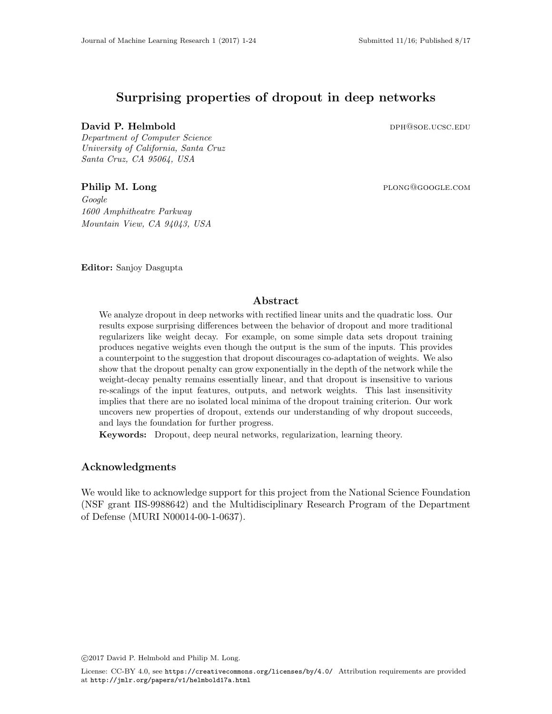# Surprising properties of dropout in deep networks

# David P. Helmbold dph and the contract of the person of the person of the person of the person of the person of the person of the person of the person of the person of the person of the person of the person of the person o

Department of Computer Science University of California, Santa Cruz Santa Cruz, CA 95064, USA

# Philip M. Long plong@google.com

Google 1600 Amphitheatre Parkway Mountain View, CA 94043, USA

Editor: Sanjoy Dasgupta

# Abstract

We analyze dropout in deep networks with rectified linear units and the quadratic loss. Our results expose surprising differences between the behavior of dropout and more traditional regularizers like weight decay. For example, on some simple data sets dropout training produces negative weights even though the output is the sum of the inputs. This provides a counterpoint to the suggestion that dropout discourages co-adaptation of weights. We also show that the dropout penalty can grow exponentially in the depth of the network while the weight-decay penalty remains essentially linear, and that dropout is insensitive to various re-scalings of the input features, outputs, and network weights. This last insensitivity implies that there are no isolated local minima of the dropout training criterion. Our work uncovers new properties of dropout, extends our understanding of why dropout succeeds, and lays the foundation for further progress.

Keywords: Dropout, deep neural networks, regularization, learning theory.

# Acknowledgments

We would like to acknowledge support for this project from the National Science Foundation (NSF grant IIS-9988642) and the Multidisciplinary Research Program of the Department of Defense (MURI N00014-00-1-0637).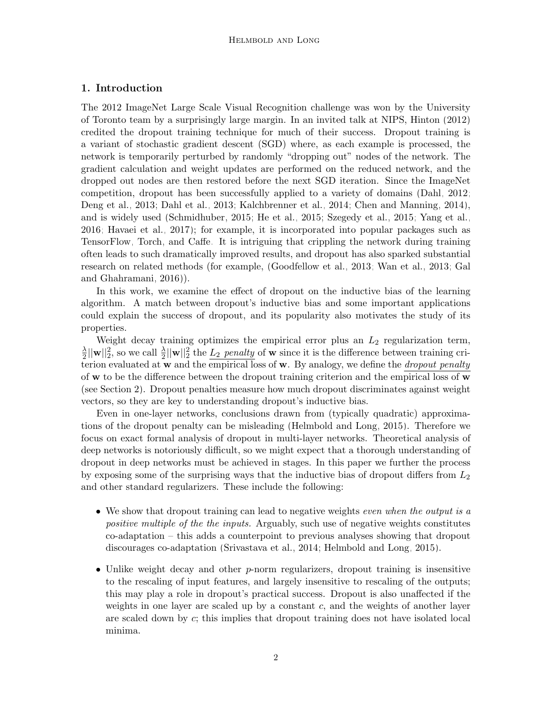# 1. Introduction

The 2012 ImageNet Large Scale Visual Recognition challenge was won by the University of Toronto team by a surprisingly large margin. In an invited talk at NIPS, [Hinton](#page-26-0) [\(2012\)](#page-26-0) credited the dropout training technique for much of their success. Dropout training is a variant of stochastic gradient descent (SGD) where, as each example is processed, the network is temporarily perturbed by randomly "dropping out" nodes of the network. The gradient calculation and weight updates are performed on the reduced network, and the dropped out nodes are then restored before the next SGD iteration. Since the ImageNet competition, dropout has been successfully applied to a variety of domains [\(Dahl, 2012;](#page-25-0) [Deng et al., 2013;](#page-25-1) [Dahl et al., 2013;](#page-25-2) [Kalchbrenner et al., 2014;](#page-26-1) [Chen and Manning, 2014\)](#page-25-3), and is widely used [\(Schmidhuber, 2015;](#page-26-2) [He et al., 2015;](#page-26-3) [Szegedy et al., 2015;](#page-26-4) [Yang et al.,](#page-27-0) [2016;](#page-27-0) [Havaei et al., 2017\)](#page-26-5); for example, it is incorporated into popular packages such as [TensorFlow,](#page-26-6) [Torch,](#page-26-7) and [Caffe.](#page-25-4) It is intriguing that crippling the network during training often leads to such dramatically improved results, and dropout has also sparked substantial research on related methods (for example, [\(Goodfellow et al., 2013;](#page-26-8) [Wan et al., 2013;](#page-27-1) [Gal](#page-26-9) [and Ghahramani, 2016\)](#page-26-9)).

In this work, we examine the effect of dropout on the inductive bias of the learning algorithm. A match between dropout's inductive bias and some important applications could explain the success of dropout, and its popularity also motivates the study of its properties.

Weight decay training optimizes the empirical error plus an  $L_2$  regularization term, λ  $\frac{\lambda}{2}||\mathbf{w}||_2^2$ , so we call  $\frac{\lambda}{2}||\mathbf{w}||_2^2$  the  $\underline{L_2}$  penalty of **w** since it is the difference between training criterion evaluated at  $w$  and the empirical loss of  $w$ . By analogy, we define the *dropout penalty* of  $w$  to be the difference between the dropout training criterion and the empirical loss of  $w$ (see Section [2\)](#page-3-0). Dropout penalties measure how much dropout discriminates against weight vectors, so they are key to understanding dropout's inductive bias.

Even in one-layer networks, conclusions drawn from (typically quadratic) approximations of the dropout penalty can be misleading [\(Helmbold and Long, 2015\)](#page-26-10). Therefore we focus on exact formal analysis of dropout in multi-layer networks. Theoretical analysis of deep networks is notoriously difficult, so we might expect that a thorough understanding of dropout in deep networks must be achieved in stages. In this paper we further the process by exposing some of the surprising ways that the inductive bias of dropout differs from  $L_2$ and other standard regularizers. These include the following:

- We show that dropout training can lead to negative weights *even when the output is a* positive multiple of the the inputs. Arguably, such use of negative weights constitutes co-adaptation – this adds a counterpoint to previous analyses showing that dropout discourages co-adaptation [\(Srivastava et al., 2014;](#page-26-11) [Helmbold and Long, 2015\)](#page-26-10).
- Unlike weight decay and other  $p$ -norm regularizers, dropout training is insensitive to the rescaling of input features, and largely insensitive to rescaling of the outputs; this may play a role in dropout's practical success. Dropout is also unaffected if the weights in one layer are scaled up by a constant  $c$ , and the weights of another layer are scaled down by c; this implies that dropout training does not have isolated local minima.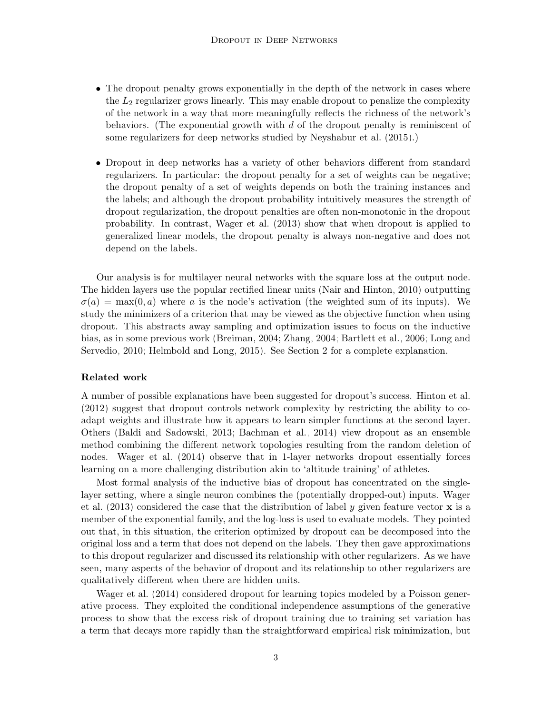- The dropout penalty grows exponentially in the depth of the network in cases where the  $L_2$  regularizer grows linearly. This may enable dropout to penalize the complexity of the network in a way that more meaningfully reflects the richness of the network's behaviors. (The exponential growth with  $d$  of the dropout penalty is reminiscent of some regularizers for deep networks studied by [Neyshabur et al.](#page-26-12) [\(2015\)](#page-26-12).)
- Dropout in deep networks has a variety of other behaviors different from standard regularizers. In particular: the dropout penalty for a set of weights can be negative; the dropout penalty of a set of weights depends on both the training instances and the labels; and although the dropout probability intuitively measures the strength of dropout regularization, the dropout penalties are often non-monotonic in the dropout probability. In contrast, [Wager et al.](#page-27-2) [\(2013\)](#page-27-2) show that when dropout is applied to generalized linear models, the dropout penalty is always non-negative and does not depend on the labels.

Our analysis is for multilayer neural networks with the square loss at the output node. The hidden layers use the popular rectified linear units [\(Nair and Hinton, 2010\)](#page-26-13) outputting  $\sigma(a) = \max(0, a)$  where a is the node's activation (the weighted sum of its inputs). We study the minimizers of a criterion that may be viewed as the objective function when using dropout. This abstracts away sampling and optimization issues to focus on the inductive bias, as in some previous work [\(Breiman, 2004;](#page-25-5) [Zhang, 2004;](#page-27-3) [Bartlett et al., 2006;](#page-25-6) [Long and](#page-26-14) [Servedio, 2010;](#page-26-14) [Helmbold and Long, 2015\)](#page-26-10). See Section [2](#page-3-0) for a complete explanation.

#### Related work

A number of possible explanations have been suggested for dropout's success. [Hinton et al.](#page-26-15) [\(2012\)](#page-26-15) suggest that dropout controls network complexity by restricting the ability to coadapt weights and illustrate how it appears to learn simpler functions at the second layer. Others [\(Baldi and Sadowski, 2013;](#page-25-7) [Bachman et al., 2014\)](#page-25-8) view dropout as an ensemble method combining the different network topologies resulting from the random deletion of nodes. [Wager et al.](#page-27-4) [\(2014\)](#page-27-4) observe that in 1-layer networks dropout essentially forces learning on a more challenging distribution akin to 'altitude training' of athletes.

Most formal analysis of the inductive bias of dropout has concentrated on the singlelayer setting, where a single neuron combines the (potentially dropped-out) inputs. [Wager](#page-27-2) [et al.](#page-27-2) [\(2013\)](#page-27-2) considered the case that the distribution of label y given feature vector  $\bf{x}$  is a member of the exponential family, and the log-loss is used to evaluate models. They pointed out that, in this situation, the criterion optimized by dropout can be decomposed into the original loss and a term that does not depend on the labels. They then gave approximations to this dropout regularizer and discussed its relationship with other regularizers. As we have seen, many aspects of the behavior of dropout and its relationship to other regularizers are qualitatively different when there are hidden units.

[Wager et al.](#page-27-4) [\(2014\)](#page-27-4) considered dropout for learning topics modeled by a Poisson generative process. They exploited the conditional independence assumptions of the generative process to show that the excess risk of dropout training due to training set variation has a term that decays more rapidly than the straightforward empirical risk minimization, but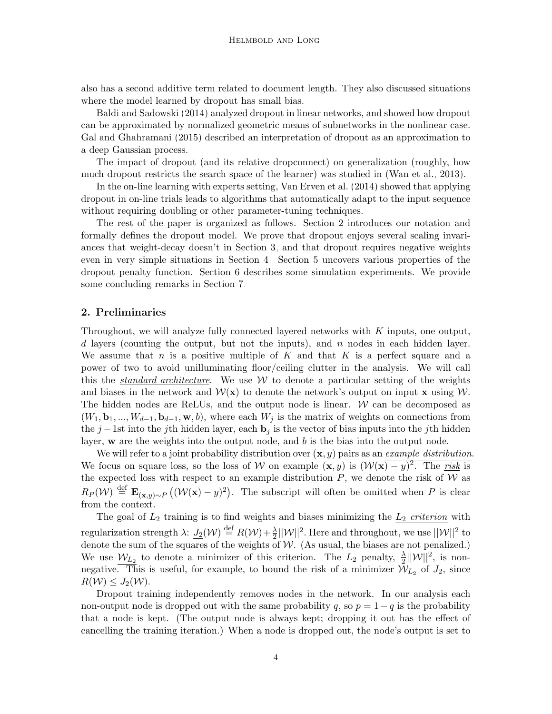also has a second additive term related to document length. They also discussed situations where the model learned by dropout has small bias.

[Baldi and Sadowski](#page-25-9) [\(2014\)](#page-25-9) analyzed dropout in linear networks, and showed how dropout can be approximated by normalized geometric means of subnetworks in the nonlinear case. [Gal and Ghahramani](#page-25-10) [\(2015\)](#page-25-10) described an interpretation of dropout as an approximation to a deep Gaussian process.

The impact of dropout (and its relative dropconnect) on generalization (roughly, how much dropout restricts the search space of the learner) was studied in [\(Wan et al., 2013\)](#page-27-1).

In the on-line learning with experts setting, [Van Erven et al.](#page-27-5) [\(2014\)](#page-27-5) showed that applying dropout in on-line trials leads to algorithms that automatically adapt to the input sequence without requiring doubling or other parameter-tuning techniques.

The rest of the paper is organized as follows. Section [2](#page-3-0) introduces our notation and formally defines the dropout model. We prove that dropout enjoys several scaling invariances that weight-decay doesn't in Section [3,](#page-5-0) and that dropout requires negative weights even in very simple situations in Section [4.](#page-8-0) Section [5](#page-15-0) uncovers various properties of the dropout penalty function. Section [6](#page-17-0) describes some simulation experiments. We provide some concluding remarks in Section [7.](#page-20-0)

### <span id="page-3-0"></span>2. Preliminaries

Throughout, we will analyze fully connected layered networks with K inputs, one output, d layers (counting the output, but not the inputs), and  $n$  nodes in each hidden layer. We assume that  $n$  is a positive multiple of  $K$  and that  $K$  is a perfect square and a power of two to avoid unilluminating floor/ceiling clutter in the analysis. We will call this the *standard architecture*. We use  $W$  to denote a particular setting of the weights and biases in the network and  $\mathcal{W}(\mathbf{x})$  to denote the network's output on input x using  $\mathcal{W}$ . The hidden nodes are ReLUs, and the output node is linear.  $W$  can be decomposed as  $(W_1, \mathbf{b}_1, ..., W_{d-1}, \mathbf{b}_{d-1}, \mathbf{w}, b)$ , where each  $W_j$  is the matrix of weights on connections from the j –1st into the jth hidden layer, each  $\mathbf{b}_i$  is the vector of bias inputs into the jth hidden layer,  $\bf{w}$  are the weights into the output node, and b is the bias into the output node.

We will refer to a joint probability distribution over  $(x, y)$  pairs as an example distribution. We focus on square loss, so the loss of W on example  $(x, y)$  is  $(\mathcal{W}(x) - y)^2$ . The risk is the expected loss with respect to an example distribution  $P$ , we denote the risk of  $W$  as  $R_P(\mathcal{W}) \stackrel{\text{def}}{=} \mathbf{E}_{(\mathbf{x},y)\sim P}((\mathcal{W}(\mathbf{x}) - y)^2)$ . The subscript will often be omitted when P is clear from the context.

The goal of  $L_2$  training is to find weights and biases minimizing the  $L_2$  criterion with regularization strength  $\lambda$ :  $\underline{J_2}(\mathcal{W}) \stackrel{\text{def}}{=} R(\mathcal{W}) + \frac{\lambda}{2} ||\mathcal{W}||^2$ . Here and throughout, we use  $||\mathcal{W}||^2$  to denote the sum of the squares of the weights of  $W$ . (As usual, the biases are not penalized.) We use  $\mathcal{W}_{L_2}$  to denote a minimizer of this criterion. The  $L_2$  penalty,  $\frac{\lambda}{2}||\mathcal{W}||^2$ , is nonnegative. This is useful, for example, to bound the risk of a minimizer  $\mathcal{W}_{L_2}$  of  $J_2$ , since  $R(\mathcal{W}) \leq J_2(\mathcal{W})$ .

Dropout training independently removes nodes in the network. In our analysis each non-output node is dropped out with the same probability q, so  $p = 1 - q$  is the probability that a node is kept. (The output node is always kept; dropping it out has the effect of cancelling the training iteration.) When a node is dropped out, the node's output is set to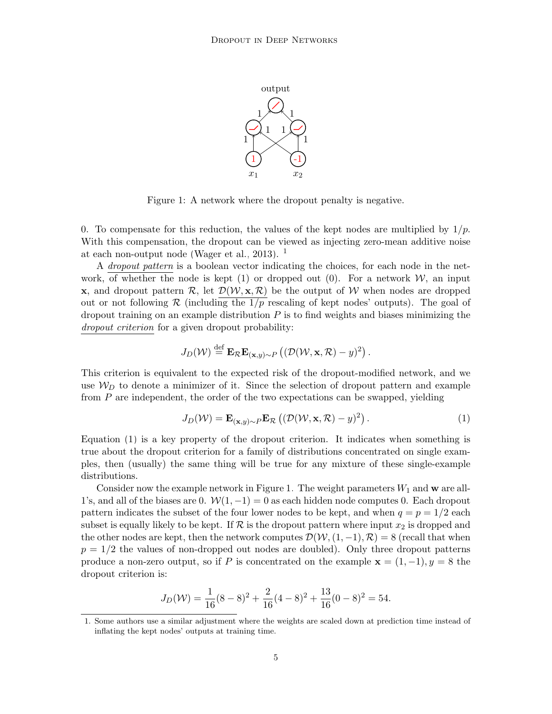

<span id="page-4-2"></span>Figure 1: A network where the dropout penalty is negative.

0. To compensate for this reduction, the values of the kept nodes are multiplied by  $1/p$ . With this compensation, the dropout can be viewed as injecting zero-mean additive noise at each non-output node [\(Wager et al., 2013\)](#page-27-2).  $<sup>1</sup>$  $<sup>1</sup>$  $<sup>1</sup>$ </sup>

A dropout pattern is a boolean vector indicating the choices, for each node in the network, of whether the node is kept (1) or dropped out (0). For a network  $W$ , an input **x**, and dropout pattern  $\mathcal{R}$ , let  $\mathcal{D}(\mathcal{W}, \mathbf{x}, \mathcal{R})$  be the output of W when nodes are dropped out or not following R (including the  $1/p$  rescaling of kept nodes' outputs). The goal of dropout training on an example distribution  $P$  is to find weights and biases minimizing the dropout criterion for a given dropout probability:

$$
J_D(\mathcal{W}) \stackrel{\text{def}}{=} \mathbf{E}_{\mathcal{R}} \mathbf{E}_{(\mathbf{x},y)\sim P} \left( (\mathcal{D}(\mathcal{W}, \mathbf{x}, \mathcal{R}) - y)^2 \right).
$$

This criterion is equivalent to the expected risk of the dropout-modified network, and we use  $W_D$  to denote a minimizer of it. Since the selection of dropout pattern and example from P are independent, the order of the two expectations can be swapped, yielding

<span id="page-4-1"></span>
$$
J_D(\mathcal{W}) = \mathbf{E}_{(\mathbf{x}, y) \sim P} \mathbf{E}_{\mathcal{R}} \left( (\mathcal{D}(\mathcal{W}, \mathbf{x}, \mathcal{R}) - y)^2 \right).
$$
 (1)

Equation [\(1\)](#page-4-1) is a key property of the dropout criterion. It indicates when something is true about the dropout criterion for a family of distributions concentrated on single examples, then (usually) the same thing will be true for any mixture of these single-example distributions.

Consider now the example network in Figure [1.](#page-4-2) The weight parameters  $W_1$  and  $\bf{w}$  are all-1's, and all of the biases are 0.  $\mathcal{W}(1,-1) = 0$  as each hidden node computes 0. Each dropout pattern indicates the subset of the four lower nodes to be kept, and when  $q = p = 1/2$  each subset is equally likely to be kept. If  $\mathcal R$  is the dropout pattern where input  $x_2$  is dropped and the other nodes are kept, then the network computes  $\mathcal{D}(\mathcal{W},(1,-1),\mathcal{R})=8$  (recall that when  $p = 1/2$  the values of non-dropped out nodes are doubled). Only three dropout patterns produce a non-zero output, so if P is concentrated on the example  $\mathbf{x} = (1, -1), y = 8$  the dropout criterion is:

$$
J_D(W) = \frac{1}{16}(8-8)^2 + \frac{2}{16}(4-8)^2 + \frac{13}{16}(0-8)^2 = 54.
$$

<span id="page-4-0"></span><sup>1.</sup> Some authors use a similar adjustment where the weights are scaled down at prediction time instead of inflating the kept nodes' outputs at training time.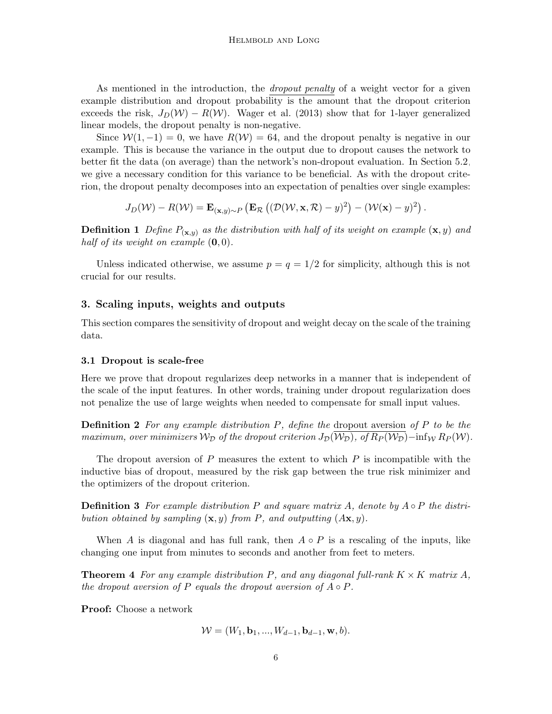As mentioned in the introduction, the dropout penalty of a weight vector for a given example distribution and dropout probability is the amount that the dropout criterion exceeds the risk,  $J_D(\mathcal{W}) - R(\mathcal{W})$ . [Wager et al.](#page-27-2) [\(2013\)](#page-27-2) show that for 1-layer generalized linear models, the dropout penalty is non-negative.

Since  $\mathcal{W}(1,-1) = 0$ , we have  $R(\mathcal{W}) = 64$ , and the dropout penalty is negative in our example. This is because the variance in the output due to dropout causes the network to better fit the data (on average) than the network's non-dropout evaluation. In Section [5.2,](#page-16-0) we give a necessary condition for this variance to be beneficial. As with the dropout criterion, the dropout penalty decomposes into an expectation of penalties over single examples:

$$
J_D(\mathcal{W}) - R(\mathcal{W}) = \mathbf{E}_{(\mathbf{x},y)\sim P} \left( \mathbf{E}_{\mathcal{R}} \left( (\mathcal{D}(\mathcal{W}, \mathbf{x}, \mathcal{R}) - y)^2 \right) - (\mathcal{W}(\mathbf{x}) - y)^2 \right).
$$

**Definition 1** Define  $P_{(\mathbf{x},y)}$  as the distribution with half of its weight on example  $(\mathbf{x}, y)$  and half of its weight on example  $(0, 0)$ .

Unless indicated otherwise, we assume  $p = q = 1/2$  for simplicity, although this is not crucial for our results.

### <span id="page-5-0"></span>3. Scaling inputs, weights and outputs

This section compares the sensitivity of dropout and weight decay on the scale of the training data.

#### 3.1 Dropout is scale-free

Here we prove that dropout regularizes deep networks in a manner that is independent of the scale of the input features. In other words, training under dropout regularization does not penalize the use of large weights when needed to compensate for small input values.

**Definition 2** For any example distribution  $P$ , define the dropout aversion of  $P$  to be the maximum, over minimizers  $W_D$  of the dropout criterion  $J_D(W_D)$ , of  $R_P(W_D)$ –inf<sub>W</sub>  $R_P(W)$ .

The dropout aversion of  $P$  measures the extent to which  $P$  is incompatible with the inductive bias of dropout, measured by the risk gap between the true risk minimizer and the optimizers of the dropout criterion.

**Definition 3** For example distribution P and square matrix A, denote by  $A \circ P$  the distribution obtained by sampling  $(\mathbf{x}, y)$  from P, and outputting  $(A\mathbf{x}, y)$ .

When A is diagonal and has full rank, then  $A \circ P$  is a rescaling of the inputs, like changing one input from minutes to seconds and another from feet to meters.

<span id="page-5-1"></span>**Theorem 4** For any example distribution P, and any diagonal full-rank  $K \times K$  matrix A, the dropout aversion of P equals the dropout aversion of  $A \circ P$ .

Proof: Choose a network

$$
\mathcal{W} = (W_1, \mathbf{b}_1, ..., W_{d-1}, \mathbf{b}_{d-1}, \mathbf{w}, b).
$$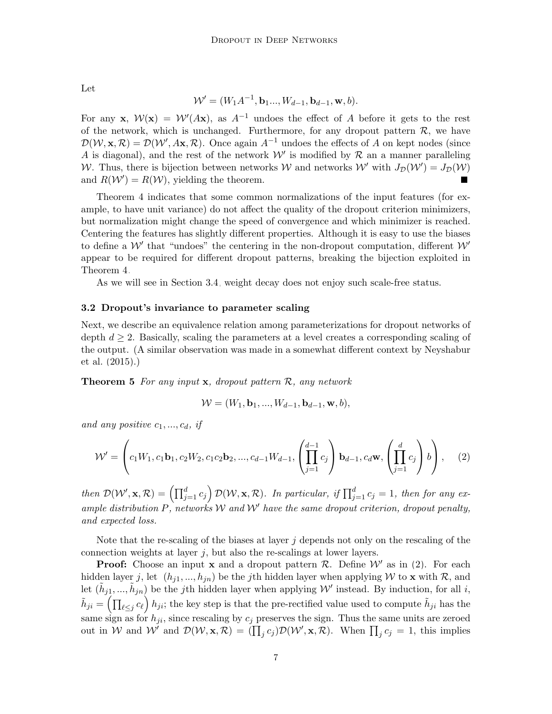Let

$$
\mathcal{W}' = (W_1 A^{-1}, \mathbf{b}_1 ..., W_{d-1}, \mathbf{b}_{d-1}, \mathbf{w}, b).
$$

For any **x**,  $W(x) = W'(Ax)$ , as  $A^{-1}$  undoes the effect of A before it gets to the rest of the network, which is unchanged. Furthermore, for any dropout pattern  $\mathcal{R}$ , we have  $\mathcal{D}(\mathcal{W}, \mathbf{x}, \mathcal{R}) = \mathcal{D}(\mathcal{W}', A\mathbf{x}, \mathcal{R})$ . Once again  $A^{-1}$  undoes the effects of A on kept nodes (since A is diagonal), and the rest of the network  $W'$  is modified by  $R$  an a manner paralleling W. Thus, there is bijection between networks W and networks  $\mathcal{W}'$  with  $J_{\mathcal{D}}(\mathcal{W}') = J_{\mathcal{D}}(\mathcal{W})$ and  $R(W') = R(W)$ , yielding the theorem.

Theorem [4](#page-5-1) indicates that some common normalizations of the input features (for example, to have unit variance) do not affect the quality of the dropout criterion minimizers, but normalization might change the speed of convergence and which minimizer is reached. Centering the features has slightly different properties. Although it is easy to use the biases to define a  $W'$  that "undoes" the centering in the non-dropout computation, different  $W'$ appear to be required for different dropout patterns, breaking the bijection exploited in Theorem [4.](#page-5-1)

As we will see in Section [3.4,](#page-7-0) weight decay does not enjoy such scale-free status.

#### 3.2 Dropout's invariance to parameter scaling

Next, we describe an equivalence relation among parameterizations for dropout networks of depth  $d \geq 2$ . Basically, scaling the parameters at a level creates a corresponding scaling of the output. (A similar observation was made in a somewhat different context by [Neyshabur](#page-26-12) [et al.](#page-26-12) [\(2015\)](#page-26-12).)

<span id="page-6-1"></span>**Theorem 5** For any input  $x$ , dropout pattern  $\mathcal{R}$ , any network

<span id="page-6-0"></span>
$$
\mathcal{W} = (W_1, \mathbf{b}_1, ..., W_{d-1}, \mathbf{b}_{d-1}, \mathbf{w}, b),
$$

and any positive  $c_1, ..., c_d, if$ 

$$
\mathcal{W}' = \left(c_1 W_1, c_1 \mathbf{b}_1, c_2 W_2, c_1 c_2 \mathbf{b}_2, ..., c_{d-1} W_{d-1}, \left(\prod_{j=1}^{d-1} c_j\right) \mathbf{b}_{d-1}, c_d \mathbf{w}, \left(\prod_{j=1}^d c_j\right) b\right), \quad (2)
$$

then  $\mathcal{D}(\mathcal{W}', \mathbf{x}, \mathcal{R}) = (\prod_{j=1}^d c_j) \mathcal{D}(\mathcal{W}, \mathbf{x}, \mathcal{R})$ . In particular, if  $\prod_{j=1}^d c_j = 1$ , then for any example distribution P, networks W and W' have the same dropout criterion, dropout penalty, and expected loss.

Note that the re-scaling of the biases at layer  $j$  depends not only on the rescaling of the connection weights at layer  $j$ , but also the re-scalings at lower layers.

**Proof:** Choose an input **x** and a dropout pattern  $\mathcal{R}$ . Define  $\mathcal{W}'$  as in [\(2\)](#page-6-0). For each hidden layer j, let  $(h_{j1},..., h_{jn})$  be the jth hidden layer when applying W to x with R, and let  $(\tilde{h}_{j1}, ..., \tilde{h}_{jn})$  be the jth hidden layer when applying W' instead. By induction, for all i,  $\tilde{h}_{ji} = \left(\prod_{\ell \leq j} c_{\ell}\right) h_{ji}$ ; the key step is that the pre-rectified value used to compute  $\tilde{h}_{ji}$  has the same sign as for  $h_{ji}$ , since rescaling by  $c_j$  preserves the sign. Thus the same units are zeroed out in W and  $\mathcal{W}$  and  $\mathcal{D}(\mathcal{W}, \mathbf{x}, \mathcal{R}) = (\prod_j c_j) \mathcal{D}(\mathcal{W}', \mathbf{x}, \mathcal{R})$ . When  $\prod_j c_j = 1$ , this implies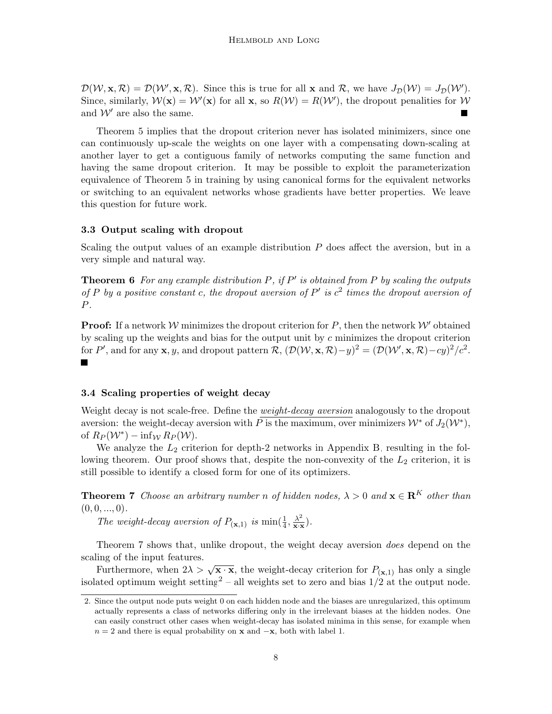$\mathcal{D}(\mathcal{W}, \mathbf{x}, \mathcal{R}) = \mathcal{D}(\mathcal{W}', \mathbf{x}, \mathcal{R})$ . Since this is true for all **x** and R, we have  $J_{\mathcal{D}}(\mathcal{W}) = J_{\mathcal{D}}(\mathcal{W}')$ . Since, similarly,  $W(\mathbf{x}) = W'(\mathbf{x})$  for all  $\mathbf{x}$ , so  $R(W) = R(W')$ , the dropout penalities for W and  $\mathcal{W}'$  are also the same.

Theorem [5](#page-6-1) implies that the dropout criterion never has isolated minimizers, since one can continuously up-scale the weights on one layer with a compensating down-scaling at another layer to get a contiguous family of networks computing the same function and having the same dropout criterion. It may be possible to exploit the parameterization equivalence of Theorem [5](#page-6-1) in training by using canonical forms for the equivalent networks or switching to an equivalent networks whose gradients have better properties. We leave this question for future work.

#### 3.3 Output scaling with dropout

Scaling the output values of an example distribution  $P$  does affect the aversion, but in a very simple and natural way.

**Theorem 6** For any example distribution P, if  $P'$  is obtained from P by scaling the outputs of P by a positive constant c, the dropout aversion of P' is  $c^2$  times the dropout aversion of P.

**Proof:** If a network W minimizes the dropout criterion for P, then the network  $\mathcal{W}'$  obtained by scaling up the weights and bias for the output unit by  $c$  minimizes the dropout criterion for P', and for any **x**, y, and dropout pattern  $\mathcal{R}$ ,  $(\mathcal{D}(\mathcal{W}, \mathbf{x}, \mathcal{R}) - y)^2 = (\mathcal{D}(\mathcal{W}', \mathbf{x}, \mathcal{R}) - cy)^2/c^2$ . П

#### <span id="page-7-0"></span>3.4 Scaling properties of weight decay

Weight decay is not scale-free. Define the *weight-decay aversion* analogously to the dropout aversion: the weight-decay aversion with  $\overline{P}$  is the maximum, over minimizers  $\mathcal{W}^*$  of  $J_2(\mathcal{W}^*),$ of  $R_P(\mathcal{W}^*) - \inf_{\mathcal{W}} R_P(\mathcal{W})$ .

We analyze the  $L_2$  criterion for depth-2 networks in Appendix [B,](#page-3-0) resulting in the following theorem. Our proof shows that, despite the non-convexity of the  $L_2$  criterion, it is still possible to identify a closed form for one of its optimizers.

<span id="page-7-1"></span>**Theorem 7** Choose an arbitrary number n of hidden nodes,  $\lambda > 0$  and  $\mathbf{x} \in \mathbb{R}^K$  other than  $(0, 0, \ldots, 0).$ 

The weight-decay aversion of  $P_{(\mathbf{x},1)}$  is  $\min(\frac{1}{4}, \frac{\lambda^2}{\mathbf{x} \cdot \mathbf{x}})$  $\frac{\lambda^2}{\mathbf{x}\cdot\mathbf{x}}$ .

Theorem [7](#page-7-1) shows that, unlike dropout, the weight decay aversion does depend on the scaling of the input features.

Furthermore, when  $2\lambda > \sqrt{\mathbf{x} \cdot \mathbf{x}}$ , the weight-decay criterion for  $P_{(\mathbf{x},1)}$  has only a single isolated optimum weight setting<sup>[2](#page-7-2)</sup> – all weights set to zero and bias  $1/2$  at the output node.

<span id="page-7-2"></span><sup>2.</sup> Since the output node puts weight 0 on each hidden node and the biases are unregularized, this optimum actually represents a class of networks differing only in the irrelevant biases at the hidden nodes. One can easily construct other cases when weight-decay has isolated minima in this sense, for example when  $n = 2$  and there is equal probability on **x** and  $-\mathbf{x}$ , both with label 1.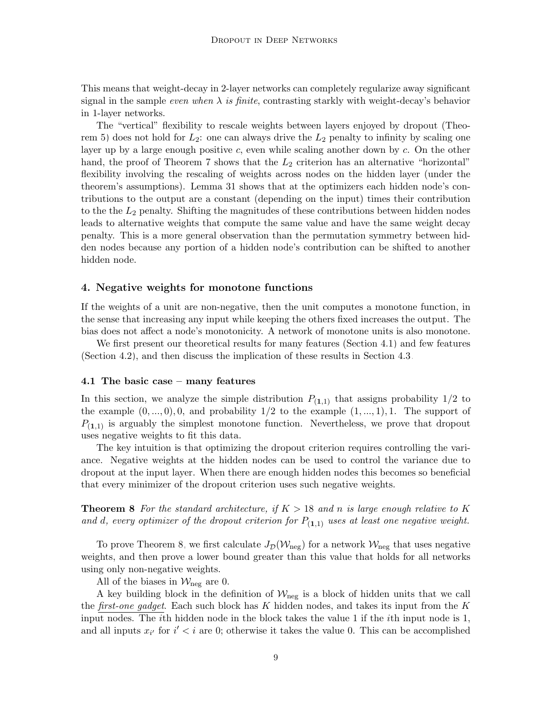This means that weight-decay in 2-layer networks can completely regularize away significant signal in the sample *even when*  $\lambda$  is finite, contrasting starkly with weight-decay's behavior in 1-layer networks.

The "vertical" flexibility to rescale weights between layers enjoyed by dropout (Theo-rem [5\)](#page-6-1) does not hold for  $L_2$ : one can always drive the  $L_2$  penalty to infinity by scaling one layer up by a large enough positive c, even while scaling another down by c. On the other hand, the proof of Theorem [7](#page-7-1) shows that the  $L_2$  criterion has an alternative "horizontal" flexibility involving the rescaling of weights across nodes on the hidden layer (under the theorem's assumptions). Lemma [31](#page-24-0) shows that at the optimizers each hidden node's contributions to the output are a constant (depending on the input) times their contribution to the the  $L_2$  penalty. Shifting the magnitudes of these contributions between hidden nodes leads to alternative weights that compute the same value and have the same weight decay penalty. This is a more general observation than the permutation symmetry between hidden nodes because any portion of a hidden node's contribution can be shifted to another hidden node.

### <span id="page-8-0"></span>4. Negative weights for monotone functions

If the weights of a unit are non-negative, then the unit computes a monotone function, in the sense that increasing any input while keeping the others fixed increases the output. The bias does not affect a node's monotonicity. A network of monotone units is also monotone.

We first present our theoretical results for many features (Section [4.1\)](#page-8-1) and few features (Section [4.2\)](#page-12-0), and then discuss the implication of these results in Section [4.3.](#page-14-0)

#### <span id="page-8-1"></span>4.1 The basic case – many features

In this section, we analyze the simple distribution  $P_{(1,1)}$  that assigns probability  $1/2$  to the example  $(0, ..., 0), 0$ , and probability  $1/2$  to the example  $(1, ..., 1), 1$ . The support of  $P_{(1,1)}$  is arguably the simplest monotone function. Nevertheless, we prove that dropout uses negative weights to fit this data.

The key intuition is that optimizing the dropout criterion requires controlling the variance. Negative weights at the hidden nodes can be used to control the variance due to dropout at the input layer. When there are enough hidden nodes this becomes so beneficial that every minimizer of the dropout criterion uses such negative weights.

<span id="page-8-2"></span>**Theorem 8** For the standard architecture, if  $K > 18$  and n is large enough relative to K and d, every optimizer of the dropout criterion for  $P_{(1,1)}$  uses at least one negative weight.

To prove Theorem [8,](#page-8-2) we first calculate  $J_{\mathcal{D}}(\mathcal{W}_{\text{neg}})$  for a network  $\mathcal{W}_{\text{neg}}$  that uses negative weights, and then prove a lower bound greater than this value that holds for all networks using only non-negative weights.

All of the biases in  $\mathcal{W}_{\text{neg}}$  are 0.

A key building block in the definition of  $\mathcal{W}_{\text{neg}}$  is a block of hidden units that we call the *first-one gadget*. Each such block has K hidden nodes, and takes its input from the K input nodes. The *i*th hidden node in the block takes the value 1 if the *i*th input node is 1, and all inputs  $x_{i'}$  for  $i' < i$  are 0; otherwise it takes the value 0. This can be accomplished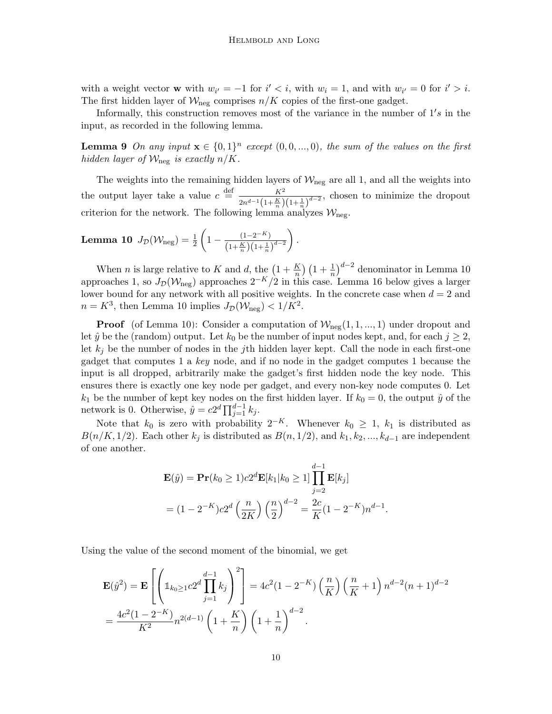with a weight vector **w** with  $w_{i'} = -1$  for  $i' < i$ , with  $w_i = 1$ , and with  $w_{i'} = 0$  for  $i' > i$ . The first hidden layer of  $\mathcal{W}_{\text{neg}}$  comprises  $n/K$  copies of the first-one gadget.

Informally, this construction removes most of the variance in the number of  $1's$  in the input, as recorded in the following lemma.

**Lemma 9** On any input  $\mathbf{x} \in \{0,1\}^n$  except  $(0,0,...,0)$ , the sum of the values on the first hidden layer of  $\mathcal{W}_{\text{neg}}$  is exactly  $n/K$ .

The weights into the remaining hidden layers of  $\mathcal{W}_{\text{neg}}$  are all 1, and all the weights into the output layer take a value  $c \stackrel{\text{def}}{=} \frac{K^2}{\sqrt{K^2}}$  $\frac{K^2}{2n^{d-1}(1+\frac{K}{n})(1+\frac{1}{n})^{d-2}}$ , chosen to minimize the dropout criterion for the network. The following lemma analyzes  $\mathcal{W}_{\text{neg}}$ .

<span id="page-9-0"></span>**Lemma 10** 
$$
J_{\mathcal{D}}(\mathcal{W}_{\text{neg}}) = \frac{1}{2} \left( 1 - \frac{(1 - 2^{-K})}{\left( 1 + \frac{K}{n} \right) \left( 1 + \frac{1}{n} \right)^{d-2}} \right).
$$

When *n* is large relative to K and *d*, the  $\left(1 + \frac{K}{n}\right) \left(1 + \frac{1}{n}\right)^{d-2}$  denominator in Lemma [10](#page-9-0) approaches 1, so  $J_{\mathcal{D}}(\mathcal{W}_{\text{neg}})$  approaches  $2^{-K}/2$  in this case. Lemma [16](#page-12-1) below gives a larger lower bound for any network with all positive weights. In the concrete case when  $d = 2$  and  $n = K^3$ , then Lemma [10](#page-9-0) implies  $J_{\mathcal{D}}(\mathcal{W}_{\text{neg}}) < 1/K^2$ .

**Proof** (of Lemma [10\)](#page-9-0): Consider a computation of  $W_{\text{neg}}(1, 1, ..., 1)$  under dropout and let  $\hat{y}$  be the (random) output. Let  $k_0$  be the number of input nodes kept, and, for each  $j \geq 2$ , let  $k_j$  be the number of nodes in the jth hidden layer kept. Call the node in each first-one gadget that computes 1 a key node, and if no node in the gadget computes 1 because the input is all dropped, arbitrarily make the gadget's first hidden node the key node. This ensures there is exactly one key node per gadget, and every non-key node computes 0. Let  $k_1$  be the number of kept key nodes on the first hidden layer. If  $k_0 = 0$ , the output  $\hat{y}$  of the network is 0. Otherwise,  $\hat{y} = c2^d \prod_{j=1}^{d-1} k_j$ .

Note that  $k_0$  is zero with probability  $2^{-K}$ . Whenever  $k_0 \geq 1$ ,  $k_1$  is distributed as  $B(n/K, 1/2)$ . Each other  $k_j$  is distributed as  $B(n, 1/2)$ , and  $k_1, k_2, ..., k_{d-1}$  are independent of one another.

$$
\mathbf{E}(\hat{y}) = \mathbf{Pr}(k_0 \ge 1) c 2^d \mathbf{E}[k_1 | k_0 \ge 1] \prod_{j=2}^{d-1} \mathbf{E}[k_j]
$$
  
=  $(1 - 2^{-K}) c 2^d \left(\frac{n}{2K}\right) \left(\frac{n}{2}\right)^{d-2} = \frac{2c}{K} (1 - 2^{-K}) n^{d-1}.$ 

Using the value of the second moment of the binomial, we get

$$
\mathbf{E}(\hat{y}^2) = \mathbf{E} \left[ \left( \mathbb{1}_{k_0 \ge 1} c 2^d \prod_{j=1}^{d-1} k_j \right)^2 \right] = 4c^2 (1 - 2^{-K}) \left( \frac{n}{K} \right) \left( \frac{n}{K} + 1 \right) n^{d-2} (n+1)^{d-2}
$$

$$
= \frac{4c^2 (1 - 2^{-K})}{K^2} n^{2(d-1)} \left( 1 + \frac{K}{n} \right) \left( 1 + \frac{1}{n} \right)^{d-2}.
$$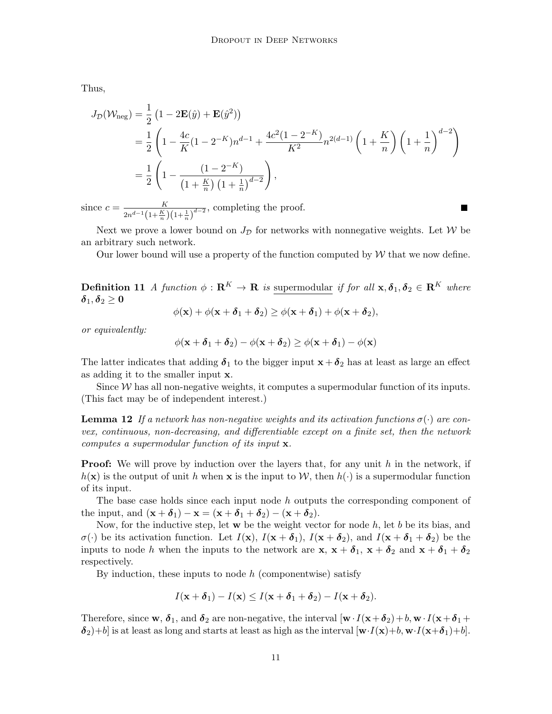Thus,

$$
J_{\mathcal{D}}(\mathcal{W}_{\text{neg}}) = \frac{1}{2} \left( 1 - 2\mathbf{E}(\hat{y}) + \mathbf{E}(\hat{y}^2) \right)
$$
  
=  $\frac{1}{2} \left( 1 - \frac{4c}{K} (1 - 2^{-K}) n^{d-1} + \frac{4c^2 (1 - 2^{-K})}{K^2} n^{2(d-1)} \left( 1 + \frac{K}{n} \right) \left( 1 + \frac{1}{n} \right)^{d-2} \right)$   
=  $\frac{1}{2} \left( 1 - \frac{(1 - 2^{-K})}{\left( 1 + \frac{K}{n} \right) \left( 1 + \frac{1}{n} \right)^{d-2}} \right)$ ,  
nce  $c = \frac{K}{\sqrt{1 + \left( 1 + \frac{1}{n} \right) \left( 1 + \frac{1}{n} \right)^d}$ , completing the proof.

since  $c = \frac{K}{\sqrt{K}}$  $\frac{K}{2n^{d-1}(1+\frac{K}{n})(1+\frac{1}{n})^{d-2}}$ , completing the proof.

Next we prove a lower bound on  $J_{\mathcal{D}}$  for networks with nonnegative weights. Let W be an arbitrary such network.

Our lower bound will use a property of the function computed by  $W$  that we now define.

**Definition 11** A function  $\phi : \mathbf{R}^K \to \mathbf{R}$  is supermodular if for all  $\mathbf{x}, \delta_1, \delta_2 \in \mathbf{R}^K$  where  $\boldsymbol{\delta}_1,\boldsymbol{\delta}_2 \geq \mathbf{0}$ 

$$
\phi(\mathbf{x}) + \phi(\mathbf{x} + \boldsymbol{\delta}_1 + \boldsymbol{\delta}_2) \ge \phi(\mathbf{x} + \boldsymbol{\delta}_1) + \phi(\mathbf{x} + \boldsymbol{\delta}_2),
$$

or equivalently:

<span id="page-10-0"></span>
$$
\phi(\mathbf{x} + \boldsymbol{\delta}_1 + \boldsymbol{\delta}_2) - \phi(\mathbf{x} + \boldsymbol{\delta}_2) \ge \phi(\mathbf{x} + \boldsymbol{\delta}_1) - \phi(\mathbf{x})
$$

The latter indicates that adding  $\delta_1$  to the bigger input  $x + \delta_2$  has at least as large an effect as adding it to the smaller input x.

Since  $W$  has all non-negative weights, it computes a supermodular function of its inputs. (This fact may be of independent interest.)

**Lemma 12** If a network has non-negative weights and its activation functions  $\sigma(\cdot)$  are convex, continuous, non-decreasing, and differentiable except on a finite set, then the network computes a supermodular function of its input x.

**Proof:** We will prove by induction over the layers that, for any unit  $h$  in the network, if  $h(\mathbf{x})$  is the output of unit h when **x** is the input to W, then  $h(\cdot)$  is a supermodular function of its input.

The base case holds since each input node h outputs the corresponding component of the input, and  $(\mathbf{x} + \boldsymbol{\delta}_1) - \mathbf{x} = (\mathbf{x} + \boldsymbol{\delta}_1 + \boldsymbol{\delta}_2) - (\mathbf{x} + \boldsymbol{\delta}_2).$ 

Now, for the inductive step, let  $w$  be the weight vector for node  $h$ , let  $b$  be its bias, and  $\sigma(\cdot)$  be its activation function. Let  $I(\mathbf{x})$ ,  $I(\mathbf{x} + \delta_1)$ ,  $I(\mathbf{x} + \delta_2)$ , and  $I(\mathbf{x} + \delta_1 + \delta_2)$  be the inputs to node h when the inputs to the network are  $x, x + \delta_1, x + \delta_2$  and  $x + \delta_1 + \delta_2$ respectively.

By induction, these inputs to node  $h$  (componentwise) satisfy

$$
I(\mathbf{x}+\boldsymbol{\delta}_1)-I(\mathbf{x})\leq I(\mathbf{x}+\boldsymbol{\delta}_1+\boldsymbol{\delta}_2)-I(\mathbf{x}+\boldsymbol{\delta}_2).
$$

Therefore, since w,  $\delta_1$ , and  $\delta_2$  are non-negative, the interval  $[\mathbf{w} \cdot I(\mathbf{x}+\delta_2)+b, \mathbf{w} \cdot I(\mathbf{x}+\delta_1+\delta_2)]$  $\delta_2$  +b] is at least as long and starts at least as high as the interval  $[w \cdot I(x) + b, w \cdot I(x+\delta_1)+b]$ .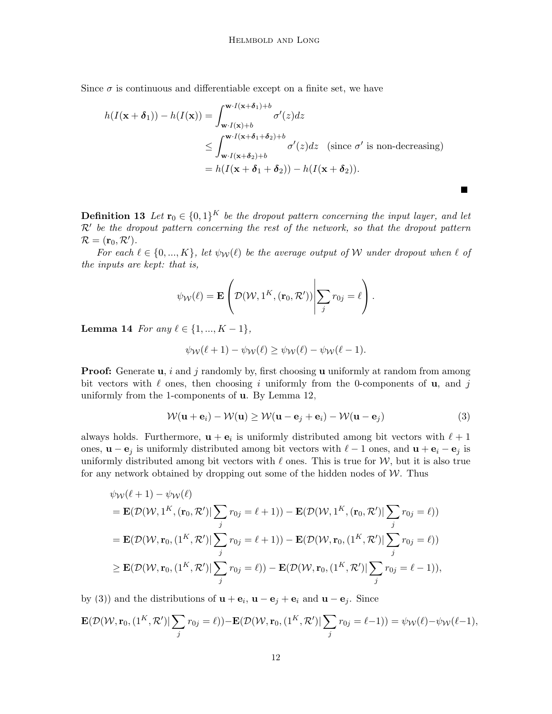Since  $\sigma$  is continuous and differentiable except on a finite set, we have

$$
h(I(\mathbf{x} + \boldsymbol{\delta}_1)) - h(I(\mathbf{x})) = \int_{\mathbf{w}\cdot I(\mathbf{x} + \boldsymbol{\delta}_1) + b}^{\mathbf{w}\cdot I(\mathbf{x} + \boldsymbol{\delta}_1) + b} \sigma'(z) dz
$$
  
\n
$$
\leq \int_{\mathbf{w}\cdot I(\mathbf{x} + \boldsymbol{\delta}_2) + b}^{\mathbf{w}\cdot I(\mathbf{x} + \boldsymbol{\delta}_1 + \boldsymbol{\delta}_2) + b} \sigma'(z) dz \quad \text{(since } \sigma' \text{ is non-decreasing)}
$$
  
\n
$$
= h(I(\mathbf{x} + \boldsymbol{\delta}_1 + \boldsymbol{\delta}_2)) - h(I(\mathbf{x} + \boldsymbol{\delta}_2)).
$$

**Definition 13** Let  $\mathbf{r}_0 \in \{0,1\}^K$  be the dropout pattern concerning the input layer, and let  $\mathcal{R}'$  be the dropout pattern concerning the rest of the network, so that the dropout pattern  $\mathcal{R} = (\mathbf{r}_0, \mathcal{R}').$ 

For each  $\ell \in \{0, ..., K\}$ , let  $\psi_{\mathcal{W}}(\ell)$  be the average output of W under dropout when  $\ell$  of the inputs are kept: that is,

$$
\psi_{\mathcal{W}}(\ell) = \mathbf{E}\left(\mathcal{D}(\mathcal{W}, 1^{K}, (\mathbf{r}_{0}, \mathcal{R}')) \middle| \sum_{j} r_{0j} = \ell\right).
$$

<span id="page-11-1"></span>Lemma 14 For any  $\ell \in \{1, ..., K - 1\},\$ 

<span id="page-11-0"></span>
$$
\psi_{\mathcal{W}}(\ell+1) - \psi_{\mathcal{W}}(\ell) \ge \psi_{\mathcal{W}}(\ell) - \psi_{\mathcal{W}}(\ell-1).
$$

**Proof:** Generate  $\mathbf{u}$ , i and j randomly by, first choosing  $\mathbf{u}$  uniformly at random from among bit vectors with  $\ell$  ones, then choosing i uniformly from the 0-components of **u**, and j uniformly from the 1-components of u. By Lemma [12,](#page-10-0)

$$
\mathcal{W}(\mathbf{u} + \mathbf{e}_i) - \mathcal{W}(\mathbf{u}) \ge \mathcal{W}(\mathbf{u} - \mathbf{e}_j + \mathbf{e}_i) - \mathcal{W}(\mathbf{u} - \mathbf{e}_j)
$$
(3)

 $\blacksquare$ 

always holds. Furthermore,  $\mathbf{u} + \mathbf{e}_i$  is uniformly distributed among bit vectors with  $\ell + 1$ ones,  $\mathbf{u} - \mathbf{e}_j$  is uniformly distributed among bit vectors with  $\ell - 1$  ones, and  $\mathbf{u} + \mathbf{e}_i - \mathbf{e}_j$  is uniformly distributed among bit vectors with  $\ell$  ones. This is true for  $\mathcal{W}$ , but it is also true for any network obtained by dropping out some of the hidden nodes of  $W$ . Thus

$$
\psi_{\mathcal{W}}(\ell+1) - \psi_{\mathcal{W}}(\ell)
$$
\n
$$
= \mathbf{E}(\mathcal{D}(\mathcal{W}, 1^{K}, (\mathbf{r}_{0}, \mathcal{R}')) \sum_{j} r_{0j} = \ell + 1) - \mathbf{E}(\mathcal{D}(\mathcal{W}, 1^{K}, (\mathbf{r}_{0}, \mathcal{R}')) \sum_{j} r_{0j} = \ell))
$$
\n
$$
= \mathbf{E}(\mathcal{D}(\mathcal{W}, \mathbf{r}_{0}, (1^{K}, \mathcal{R}')) \sum_{j} r_{0j} = \ell + 1) - \mathbf{E}(\mathcal{D}(\mathcal{W}, \mathbf{r}_{0}, (1^{K}, \mathcal{R}')) \sum_{j} r_{0j} = \ell))
$$
\n
$$
\geq \mathbf{E}(\mathcal{D}(\mathcal{W}, \mathbf{r}_{0}, (1^{K}, \mathcal{R}')) \sum_{j} r_{0j} = \ell) - \mathbf{E}(\mathcal{D}(\mathcal{W}, \mathbf{r}_{0}, (1^{K}, \mathcal{R}')) \sum_{j} r_{0j} = \ell - 1)),
$$

by [\(3\)](#page-11-0)) and the distributions of  $\mathbf{u} + \mathbf{e}_i$ ,  $\mathbf{u} - \mathbf{e}_j + \mathbf{e}_i$  and  $\mathbf{u} - \mathbf{e}_j$ . Since

$$
\mathbf{E}(\mathcal{D}(\mathcal{W}, \mathbf{r}_0, (1^K, \mathcal{R}')) \sum_j r_{0j} = \ell)) - \mathbf{E}(\mathcal{D}(\mathcal{W}, \mathbf{r}_0, (1^K, \mathcal{R}')) \sum_j r_{0j} = \ell - 1)) = \psi_{\mathcal{W}}(\ell) - \psi_{\mathcal{W}}(\ell - 1),
$$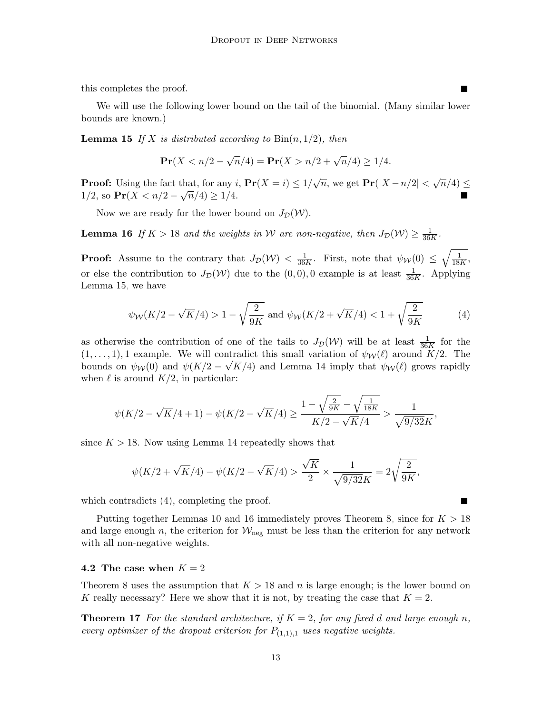this completes the proof.

We will use the following lower bound on the tail of the binomial. (Many similar lower bounds are known.)

**Lemma 15** If X is distributed according to  $\text{Bin}(n, 1/2)$ , then

<span id="page-12-2"></span><span id="page-12-1"></span>
$$
\Pr(X < n/2 - \sqrt{n}/4) = \Pr(X > n/2 + \sqrt{n}/4) \ge 1/4.
$$

**Proof:** Using the fact that, for any  $i$ ,  $Pr(X = i) \le 1/\sqrt{n}$ , we get  $Pr(|X - n/2| < \sqrt{n}/4) \le$  $1/2$ , so  $Pr(X < n/2 - \sqrt{n}/4) \ge 1/4$ .

Now we are ready for the lower bound on  $J_{\mathcal{D}}(\mathcal{W})$ .

**Lemma 16** If  $K > 18$  and the weights in W are non-negative, then  $J_{\mathcal{D}}(\mathcal{W}) \geq \frac{1}{36}$  $\frac{1}{36K}$ .

**Proof:** Assume to the contrary that  $J_{\mathcal{D}}(\mathcal{W}) < \frac{1}{36}$  $\frac{1}{36K}$ . First, note that  $\psi_{\mathcal{W}}(0) \leq \sqrt{\frac{1}{18K}}$ .  $\frac{1}{18K},$ or else the contribution to  $J_{\mathcal{D}}(\mathcal{W})$  due to the  $(0,0), 0$  example is at least  $\frac{1}{36K}$ . Applying Lemma [15,](#page-12-2) we have

<span id="page-12-3"></span>
$$
\psi_W(K/2 - \sqrt{K}/4) > 1 - \sqrt{\frac{2}{9K}}
$$
 and  $\psi_W(K/2 + \sqrt{K}/4) < 1 + \sqrt{\frac{2}{9K}}$  (4)

as otherwise the contribution of one of the tails to  $J_{\mathcal{D}}(\mathcal{W})$  will be at least  $\frac{1}{36K}$  for the  $(1, \ldots, 1)$ , 1 example. We will contradict this small variation of  $\psi_{\mathcal{W}}(\ell)$  around  $K/2$ . The bounds on  $\psi_W(0)$  and  $\psi(K/2 - \sqrt{K/4})$  and Lemma [14](#page-11-1) imply that  $\psi_W(\ell)$  grows rapidly when  $\ell$  is around  $K/2$ , in particular:

$$
\psi(K/2-\sqrt{K}/4+1)-\psi(K/2-\sqrt{K}/4)\geq \frac{1-\sqrt{\frac{2}{9K}}-\sqrt{\frac{1}{18K}}}{K/2-\sqrt{K}/4}>\frac{1}{\sqrt{9/32}K},
$$

since  $K > 18$ . Now using Lemma [14](#page-11-1) repeatedly shows that

$$
\psi(K/2 + \sqrt{K}/4) - \psi(K/2 - \sqrt{K}/4) > \frac{\sqrt{K}}{2} \times \frac{1}{\sqrt{9/32}K} = 2\sqrt{\frac{2}{9K}},
$$

which contradicts  $(4)$ , completing the proof.

Putting together Lemmas [10](#page-9-0) and [16](#page-12-1) immediately proves Theorem [8,](#page-8-2) since for  $K > 18$ and large enough n, the criterion for  $W_{\text{neg}}$  must be less than the criterion for any network with all non-negative weights.

#### <span id="page-12-0"></span>4.2 The case when  $K = 2$

Theorem [8](#page-8-2) uses the assumption that  $K > 18$  and n is large enough; is the lower bound on K really necessary? Here we show that it is not, by treating the case that  $K = 2$ .

**Theorem 17** For the standard architecture, if  $K = 2$ , for any fixed d and large enough n, every optimizer of the dropout criterion for  $P_{(1,1),1}$  uses negative weights.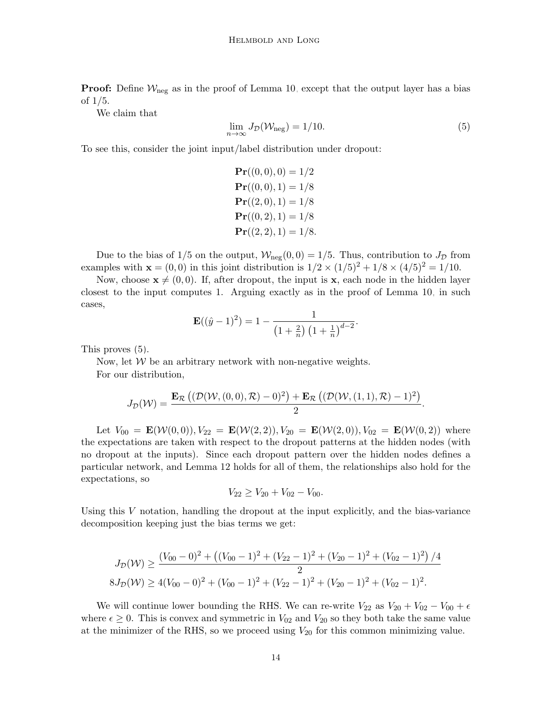**Proof:** Define  $W_{\text{neg}}$  as in the proof of Lemma [10,](#page-9-0) except that the output layer has a bias of 1/5.

<span id="page-13-0"></span>We claim that

$$
\lim_{n \to \infty} J_{\mathcal{D}}(\mathcal{W}_{\text{neg}}) = 1/10. \tag{5}
$$

To see this, consider the joint input/label distribution under dropout:

 $Pr((0,0), 0) = 1/2$  $Pr((0, 0), 1) = 1/8$  $Pr((2,0),1) = 1/8$  $Pr((0, 2), 1) = 1/8$  $Pr((2, 2), 1) = 1/8.$ 

Due to the bias of 1/5 on the output,  $W_{\text{neg}}(0,0) = 1/5$ . Thus, contribution to  $J_{\mathcal{D}}$  from examples with  $\mathbf{x} = (0, 0)$  in this joint distribution is  $1/2 \times (1/5)^2 + 1/8 \times (4/5)^2 = 1/10$ .

Now, choose  $\mathbf{x} \neq (0, 0)$ . If, after dropout, the input is x, each node in the hidden layer closest to the input computes 1. Arguing exactly as in the proof of Lemma [10,](#page-9-0) in such cases,

$$
\mathbf{E}((\hat{y}-1)^2) = 1 - \frac{1}{\left(1+\frac{2}{n}\right)\left(1+\frac{1}{n}\right)^{d-2}}.
$$

This proves [\(5\)](#page-13-0).

Now, let  $W$  be an arbitrary network with non-negative weights. For our distribution,

$$
J_{\mathcal{D}}(\mathcal{W})=\frac{\mathbf{E}_{\mathcal{R}}\left((\mathcal{D}(\mathcal{W},(0,0),\mathcal{R})-0)^2\right)+\mathbf{E}_{\mathcal{R}}\left((\mathcal{D}(\mathcal{W},(1,1),\mathcal{R})-1)^2\right)}{2}.
$$

Let  $V_{00} = \mathbf{E}(\mathcal{W}(0,0)), V_{22} = \mathbf{E}(\mathcal{W}(2,2)), V_{20} = \mathbf{E}(\mathcal{W}(2,0)), V_{02} = \mathbf{E}(\mathcal{W}(0,2))$  where the expectations are taken with respect to the dropout patterns at the hidden nodes (with no dropout at the inputs). Since each dropout pattern over the hidden nodes defines a particular network, and Lemma [12](#page-10-0) holds for all of them, the relationships also hold for the expectations, so

$$
V_{22} \geq V_{20} + V_{02} - V_{00}.
$$

Using this  $V$  notation, handling the dropout at the input explicitly, and the bias-variance decomposition keeping just the bias terms we get:

$$
J_{\mathcal{D}}(\mathcal{W}) \ge \frac{(V_{00} - 0)^2 + ((V_{00} - 1)^2 + (V_{22} - 1)^2 + (V_{20} - 1)^2 + (V_{02} - 1)^2)/4}{2}
$$
  

$$
8J_{\mathcal{D}}(\mathcal{W}) \ge 4(V_{00} - 0)^2 + (V_{00} - 1)^2 + (V_{22} - 1)^2 + (V_{20} - 1)^2 + (V_{02} - 1)^2.
$$

We will continue lower bounding the RHS. We can re-write  $V_{22}$  as  $V_{20} + V_{02} - V_{00} + \epsilon$ where  $\epsilon \geq 0$ . This is convex and symmetric in  $V_{02}$  and  $V_{20}$  so they both take the same value at the minimizer of the RHS, so we proceed using  $V_{20}$  for this common minimizing value.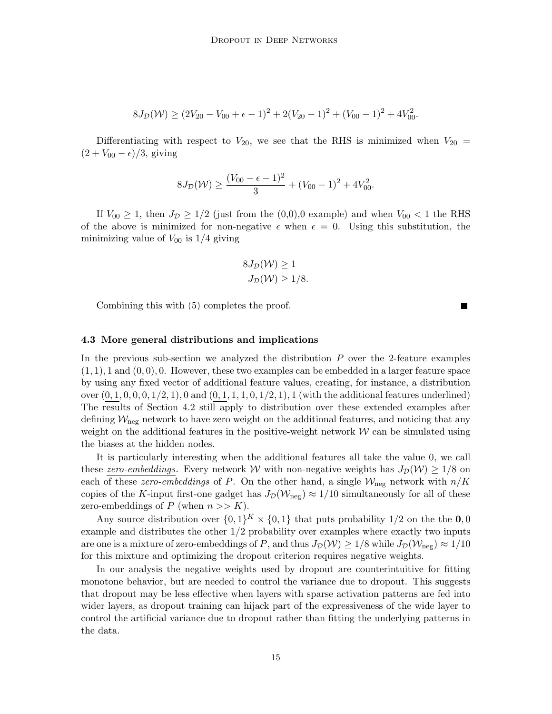$$
8J_{\mathcal{D}}(\mathcal{W}) \ge (2V_{20} - V_{00} + \epsilon - 1)^2 + 2(V_{20} - 1)^2 + (V_{00} - 1)^2 + 4V_{00}^2.
$$

Differentiating with respect to  $V_{20}$ , we see that the RHS is minimized when  $V_{20}$  =  $(2 + V_{00} - \epsilon)/3$ , giving

$$
8J_{\mathcal{D}}(\mathcal{W}) \ge \frac{(V_{00} - \epsilon - 1)^2}{3} + (V_{00} - 1)^2 + 4V_{00}^2.
$$

If  $V_{00} \geq 1$ , then  $J_{\mathcal{D}} \geq 1/2$  (just from the  $(0,0),0$  example) and when  $V_{00} < 1$  the RHS of the above is minimized for non-negative  $\epsilon$  when  $\epsilon = 0$ . Using this substitution, the minimizing value of  $V_{00}$  is  $1/4$  giving

$$
8J_{\mathcal{D}}(\mathcal{W}) \ge 1
$$
  

$$
J_{\mathcal{D}}(\mathcal{W}) \ge 1/8.
$$

Combining this with [\(5\)](#page-13-0) completes the proof.

#### <span id="page-14-0"></span>4.3 More general distributions and implications

In the previous sub-section we analyzed the distribution  $P$  over the 2-feature examples  $(1, 1)$ , 1 and  $(0, 0)$ , 0. However, these two examples can be embedded in a larger feature space by using any fixed vector of additional feature values, creating, for instance, a distribution over  $(0, 1, 0, 0, 0, 1/2, 1)$ , 0 and  $(0, 1, 1, 1, 0, 1/2, 1)$ , 1 (with the additional features underlined) The results of Section [4.2](#page-12-0) still apply to distribution over these extended examples after defining  $\mathcal{W}_{\text{neg}}$  network to have zero weight on the additional features, and noticing that any weight on the additional features in the positive-weight network  $W$  can be simulated using the biases at the hidden nodes.

It is particularly interesting when the additional features all take the value 0, we call these zero-embeddings. Every network W with non-negative weights has  $J_{\mathcal{D}}(\mathcal{W}) \geq 1/8$  on each of these *zero-embeddings* of P. On the other hand, a single  $W_{\text{neg}}$  network with  $n/K$ copies of the K-input first-one gadget has  $J_{\mathcal{D}}(\mathcal{W}_{\text{neg}}) \approx 1/10$  simultaneously for all of these zero-embeddings of P (when  $n >> K$ ).

Any source distribution over  $\{0,1\}^K \times \{0,1\}$  that puts probability  $1/2$  on the the  $0,0$ example and distributes the other 1/2 probability over examples where exactly two inputs are one is a mixture of zero-embeddings of P, and thus  $J_{\mathcal{D}}(\mathcal{W}) \ge 1/8$  while  $J_{\mathcal{D}}(\mathcal{W}_{\text{neg}}) \approx 1/10$ for this mixture and optimizing the dropout criterion requires negative weights.

In our analysis the negative weights used by dropout are counterintuitive for fitting monotone behavior, but are needed to control the variance due to dropout. This suggests that dropout may be less effective when layers with sparse activation patterns are fed into wider layers, as dropout training can hijack part of the expressiveness of the wide layer to control the artificial variance due to dropout rather than fitting the underlying patterns in the data.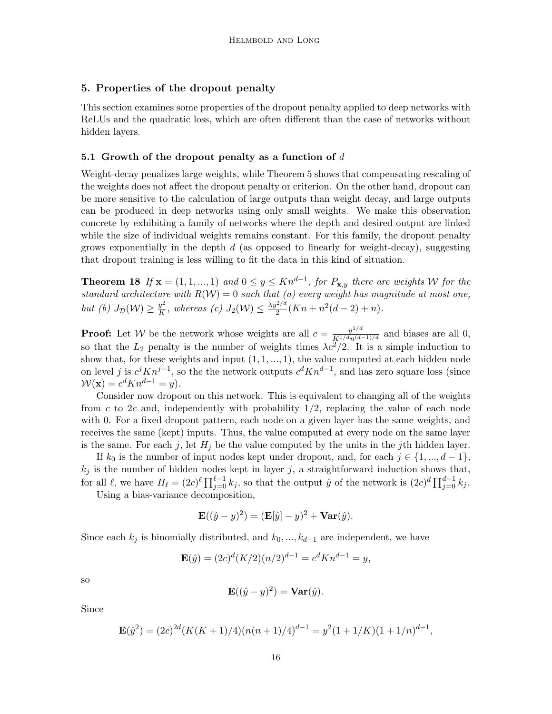### <span id="page-15-0"></span>5. Properties of the dropout penalty

This section examines some properties of the dropout penalty applied to deep networks with ReLUs and the quadratic loss, which are often different than the case of networks without hidden layers.

#### 5.1 Growth of the dropout penalty as a function of  $d$

Weight-decay penalizes large weights, while Theorem [5](#page-6-1) shows that compensating rescaling of the weights does not affect the dropout penalty or criterion. On the other hand, dropout can be more sensitive to the calculation of large outputs than weight decay, and large outputs can be produced in deep networks using only small weights. We make this observation concrete by exhibiting a family of networks where the depth and desired output are linked while the size of individual weights remains constant. For this family, the dropout penalty grows exponentially in the depth  $d$  (as opposed to linearly for weight-decay), suggesting that dropout training is less willing to fit the data in this kind of situation.

<span id="page-15-1"></span>**Theorem 18** If  $\mathbf{x} = (1, 1, ..., 1)$  and  $0 \le y \le Kn^{d-1}$ , for  $P_{\mathbf{x},y}$  there are weights W for the standard architecture with  $R(\mathcal{W}) = 0$  such that (a) every weight has magnitude at most one, but (b)  $J_{\mathcal{D}}(\mathcal{W}) \geq \frac{y^2}{K}$  $\frac{y^2}{K}$ , whereas (c)  $J_2(\mathcal{W}) \leq \frac{\lambda y^{2/d}}{2}$  $\frac{2^{2/a}}{2}(Kn + n^2(d-2) + n).$ 

**Proof:** Let W be the network whose weights are all  $c = \frac{y^{1/d}}{K^{1/d}n^{(d-1)/d}}$  and biases are all 0, so that the  $L_2$  penalty is the number of weights times  $\lambda c^2/2$ . It is a simple induction to show that, for these weights and input  $(1, 1, \ldots, 1)$ , the value computed at each hidden node on level j is  $c^{j}Kn^{j-1}$ , so the the network outputs  $c^{d}Kn^{d-1}$ , and has zero square loss (since  $\mathcal{W}(\mathbf{x}) = c^d K n^{d-1} = y$ .

Consider now dropout on this network. This is equivalent to changing all of the weights from  $c$  to  $2c$  and, independently with probability  $1/2$ , replacing the value of each node with 0. For a fixed dropout pattern, each node on a given layer has the same weights, and receives the same (kept) inputs. Thus, the value computed at every node on the same layer is the same. For each j, let  $H_j$  be the value computed by the units in the jth hidden layer.

If  $k_0$  is the number of input nodes kept under dropout, and, for each  $j \in \{1, ..., d-1\}$ ,  $k_j$  is the number of hidden nodes kept in layer j, a straightforward induction shows that, for all  $\ell$ , we have  $H_{\ell} = (2c)^{\ell} \prod_{j=0}^{\ell-1} k_j$ , so that the output  $\hat{y}$  of the network is  $(2c)^d \prod_{j=0}^{d-1} k_j$ .

Using a bias-variance decomposition,

$$
\mathbf{E}((\hat{y} - y)^2) = (\mathbf{E}[\hat{y}] - y)^2 + \mathbf{Var}(\hat{y}).
$$

Since each  $k_j$  is binomially distributed, and  $k_0, ..., k_{d-1}$  are independent, we have

$$
\mathbf{E}(\hat{y}) = (2c)^d (K/2)(n/2)^{d-1} = c^d K n^{d-1} = y,
$$

so

$$
\mathbf{E}((\hat{y} - y)^2) = \mathbf{Var}(\hat{y}).
$$

Since

$$
\mathbf{E}(\hat{y}^2) = (2c)^{2d}(K(K+1)/4)(n(n+1)/4)^{d-1} = y^2(1+1/K)(1+1/n)^{d-1},
$$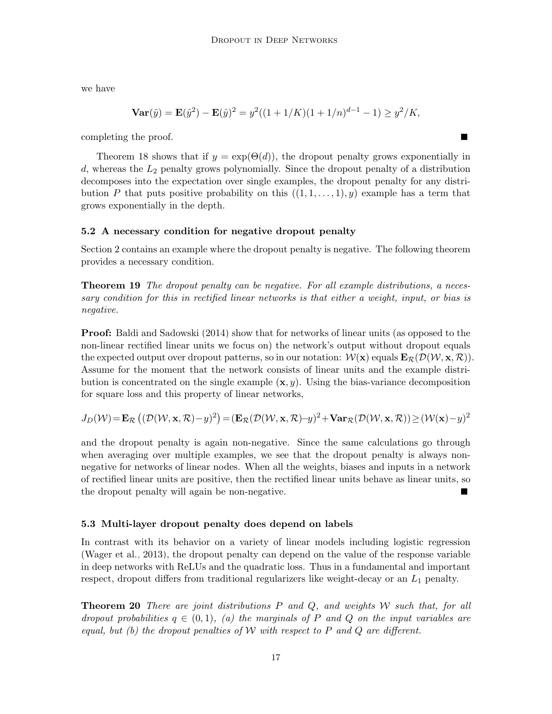we have

$$
\mathbf{Var}(\hat{y}) = \mathbf{E}(\hat{y}^2) - \mathbf{E}(\hat{y})^2 = y^2((1+1/K)(1+1/n)^{d-1} - 1) \ge y^2/K,
$$

completing the proof.

Theorem [18](#page-15-1) shows that if  $y = \exp(\Theta(d))$ , the dropout penalty grows exponentially in d, whereas the  $L_2$  penalty grows polynomially. Since the dropout penalty of a distribution decomposes into the expectation over single examples, the dropout penalty for any distribution P that puts positive probability on this  $((1, 1, \ldots, 1), y)$  example has a term that grows exponentially in the depth.

# <span id="page-16-0"></span>5.2 A necessary condition for negative dropout penalty

Section [2](#page-3-0) contains an example where the dropout penalty is negative. The following theorem provides a necessary condition.

**Theorem 19** The dropout penalty can be negative. For all example distributions, a necessary condition for this in rectified linear networks is that either a weight, input, or bias is negative.

Proof: [Baldi and Sadowski](#page-25-9) [\(2014\)](#page-25-9) show that for networks of linear units (as opposed to the non-linear rectified linear units we focus on) the network's output without dropout equals the expected output over dropout patterns, so in our notation:  $W(\mathbf{x})$  equals  $\mathbf{E}_{\mathcal{R}}(\mathcal{D}(\mathcal{W}, \mathbf{x}, \mathcal{R}))$ . Assume for the moment that the network consists of linear units and the example distribution is concentrated on the single example  $(x, y)$ . Using the bias-variance decomposition for square loss and this property of linear networks,

 $J_D(\mathcal{W})\!=\!\mathbf{E}_\mathcal{R}\left((\mathcal{D}(\mathcal{W},\mathbf{x},\mathcal{R})\!-\!y)^2\right)\!=\!(\mathbf{E}_\mathcal{R}(\mathcal{D}(\mathcal{W},\mathbf{x},\mathcal{R})\!-\!y)^2\!+\!\mathbf{Var}_\mathcal{R}(\mathcal{D}(\mathcal{W},\mathbf{x},\mathcal{R}))\!\geq\!(\mathcal{W}(\mathbf{x})\!-\!y)^2$ 

and the dropout penalty is again non-negative. Since the same calculations go through when averaging over multiple examples, we see that the dropout penalty is always nonnegative for networks of linear nodes. When all the weights, biases and inputs in a network of rectified linear units are positive, then the rectified linear units behave as linear units, so the dropout penalty will again be non-negative.

# 5.3 Multi-layer dropout penalty does depend on labels

In contrast with its behavior on a variety of linear models including logistic regression [\(Wager et al., 2013\)](#page-27-2), the dropout penalty can depend on the value of the response variable in deep networks with ReLUs and the quadratic loss. Thus in a fundamental and important respect, dropout differs from traditional regularizers like weight-decay or an  $L_1$  penalty.

<span id="page-16-1"></span>**Theorem 20** There are joint distributions  $P$  and  $Q$ , and weights  $W$  such that, for all dropout probabilities  $q \in (0,1)$ , (a) the marginals of P and Q on the input variables are equal, but (b) the dropout penalties of  $W$  with respect to  $P$  and  $Q$  are different.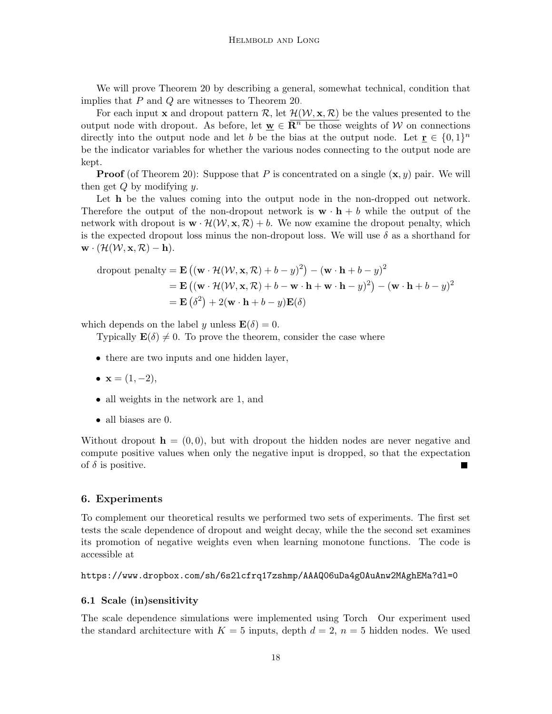We will prove Theorem [20](#page-16-1) by describing a general, somewhat technical, condition that implies that P and Q are witnesses to Theorem [20.](#page-16-1)

For each input x and dropout pattern  $\mathcal{R}$ , let  $\mathcal{H}(\mathcal{W}, \mathbf{x}, \mathcal{R})$  be the values presented to the output node with dropout. As before, let  $\mathbf{w} \in \mathbf{R}^n$  be those weights of W on connections directly into the output node and let b be the bias at the output node. Let  $\underline{\mathbf{r}} \in \{0,1\}^n$ be the indicator variables for whether the various nodes connecting to the output node are kept.

**Proof** (of Theorem [20\)](#page-16-1): Suppose that P is concentrated on a single  $(x, y)$  pair. We will then get  $Q$  by modifying  $y$ .

Let **h** be the values coming into the output node in the non-dropped out network. Therefore the output of the non-dropout network is  $\mathbf{w} \cdot \mathbf{h} + b$  while the output of the network with dropout is  $\mathbf{w} \cdot \mathcal{H}(\mathcal{W}, \mathbf{x}, \mathcal{R}) + b$ . We now examine the dropout penalty, which is the expected dropout loss minus the non-dropout loss. We will use  $\delta$  as a shorthand for  $\mathbf{w} \cdot (\mathcal{H}(\mathcal{W}, \mathbf{x}, \mathcal{R}) - \mathbf{h}).$ 

dropout penalty = E (w · H(W, x, R) + b − y) 2 − (w · h + b − y) 2 = E (w · H(W, x, R) + b − w · h + w · h − y) 2 − (w · h + b − y) 2 = E δ 2 + 2(w · h + b − y)E(δ)

which depends on the label y unless  $\mathbf{E}(\delta) = 0$ .

Typically  $\mathbf{E}(\delta) \neq 0$ . To prove the theorem, consider the case where

- there are two inputs and one hidden layer,
- $x = (1, -2)$ ,
- all weights in the network are 1, and
- all biases are 0.

Without dropout  $\mathbf{h} = (0, 0)$ , but with dropout the hidden nodes are never negative and compute positive values when only the negative input is dropped, so that the expectation of  $\delta$  is positive.

#### <span id="page-17-0"></span>6. Experiments

To complement our theoretical results we performed two sets of experiments. The first set tests the scale dependence of dropout and weight decay, while the the second set examines its promotion of negative weights even when learning monotone functions. The code is accessible at

https://www.dropbox.com/sh/6s2lcfrq17zshmp/AAAQ06uDa4gOAuAnw2MAghEMa?dl=0

### 6.1 Scale (in)sensitivity

The scale dependence simulations were implemented using [Torch.](#page-26-7) Our experiment used the standard architecture with  $K = 5$  inputs, depth  $d = 2$ ,  $n = 5$  hidden nodes. We used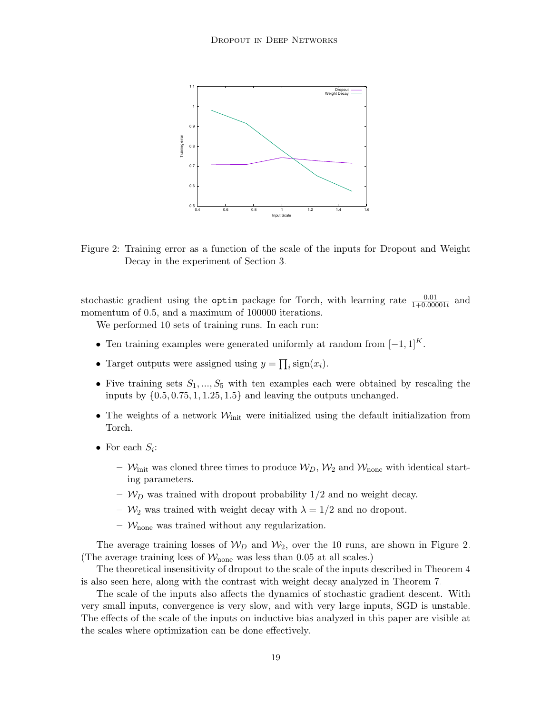

<span id="page-18-0"></span>Figure 2: Training error as a function of the scale of the inputs for Dropout and Weight Decay in the experiment of Section [3.](#page-5-0)

stochastic gradient using the **optim** package for Torch, with learning rate  $\frac{0.01}{1+0.00001t}$  and momentum of 0.5, and a maximum of 100000 iterations.

We performed 10 sets of training runs. In each run:

- Ten training examples were generated uniformly at random from  $[-1, 1]^K$ .
- Target outputs were assigned using  $y = \prod_i \text{sign}(x_i)$ .
- Five training sets  $S_1, ..., S_5$  with ten examples each were obtained by rescaling the inputs by  $\{0.5, 0.75, 1, 1.25, 1.5\}$  and leaving the outputs unchanged.
- The weights of a network  $\mathcal{W}_{\text{init}}$  were initialized using the default initialization from Torch.
- For each  $S_i$ :
	- $W_{\text{init}}$  was cloned three times to produce  $W_D$ ,  $W_2$  and  $W_{\text{none}}$  with identical starting parameters.
	- $W_D$  was trained with dropout probability  $1/2$  and no weight decay.
	- $\mathcal{W}_2$  was trained with weight decay with  $\lambda = 1/2$  and no dropout.
	- $\mathcal{W}_{\text{none}}$  was trained without any regularization.

The average training losses of  $W_D$  and  $W_2$ , over the 10 runs, are shown in Figure [2.](#page-18-0) (The average training loss of  $W_{\text{none}}$  was less than 0.05 at all scales.)

The theoretical insensitivity of dropout to the scale of the inputs described in Theorem [4](#page-5-1) is also seen here, along with the contrast with weight decay analyzed in Theorem [7.](#page-7-1)

The scale of the inputs also affects the dynamics of stochastic gradient descent. With very small inputs, convergence is very slow, and with very large inputs, SGD is unstable. The effects of the scale of the inputs on inductive bias analyzed in this paper are visible at the scales where optimization can be done effectively.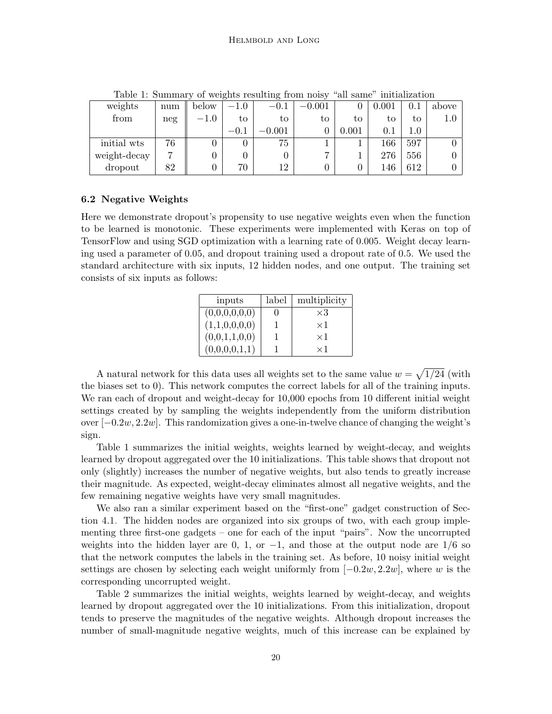| weights      | num | below  | $-1.0$ | $-0.1$      | $-0.001$       |             | 0.001   |     | above   |
|--------------|-----|--------|--------|-------------|----------------|-------------|---------|-----|---------|
| from         | neg | $-1.0$ | to     | to          | to             | tο          | tο      | to  | $1.0\,$ |
|              |     |        | $-0.1$ | $\rm 0.001$ |                | $\rm 0.001$ | $0.1\,$ | 0.1 |         |
| initial wts  | 76  |        |        | 75          |                |             | 166     | 597 |         |
| weight-decay |     |        |        |             | $\overline{ }$ |             | 276     | 556 |         |
| dropout      | 82  |        | 70     | 12          |                |             | 146     | 612 |         |

<span id="page-19-0"></span>Table 1: Summary of weights resulting from noisy "all same" initialization

#### 6.2 Negative Weights

Here we demonstrate dropout's propensity to use negative weights even when the function to be learned is monotonic. These experiments were implemented with Keras on top of TensorFlow and using SGD optimization with a learning rate of 0.005. Weight decay learning used a parameter of 0.05, and dropout training used a dropout rate of 0.5. We used the standard architecture with six inputs, 12 hidden nodes, and one output. The training set consists of six inputs as follows:

| inputs        | label | multiplicity |
|---------------|-------|--------------|
| (0,0,0,0,0,0) |       | $\times 3$   |
| (1,1,0,0,0,0) |       | $\times 1$   |
| (0,0,1,1,0,0) |       | $\times 1$   |
| (0,0,0,0,1,1) |       | $\times$ I   |

A natural network for this data uses all weights set to the same value  $w = \sqrt{1/24}$  (with the biases set to 0). This network computes the correct labels for all of the training inputs. We ran each of dropout and weight-decay for 10,000 epochs from 10 different initial weight settings created by by sampling the weights independently from the uniform distribution over  $[-0.2w, 2.2w]$ . This randomization gives a one-in-twelve chance of changing the weight's sign.

Table [1](#page-19-0) summarizes the initial weights, weights learned by weight-decay, and weights learned by dropout aggregated over the 10 initializations. This table shows that dropout not only (slightly) increases the number of negative weights, but also tends to greatly increase their magnitude. As expected, weight-decay eliminates almost all negative weights, and the few remaining negative weights have very small magnitudes.

We also ran a similar experiment based on the "first-one" gadget construction of Section [4.1.](#page-8-1) The hidden nodes are organized into six groups of two, with each group implementing three first-one gadgets – one for each of the input "pairs". Now the uncorrupted weights into the hidden layer are 0, 1, or  $-1$ , and those at the output node are  $1/6$  so that the network computes the labels in the training set. As before, 10 noisy initial weight settings are chosen by selecting each weight uniformly from  $[-0.2w, 2.2w]$ , where w is the corresponding uncorrupted weight.

Table [2](#page-20-1) summarizes the initial weights, weights learned by weight-decay, and weights learned by dropout aggregated over the 10 initializations. From this initialization, dropout tends to preserve the magnitudes of the negative weights. Although dropout increases the number of small-magnitude negative weights, much of this increase can be explained by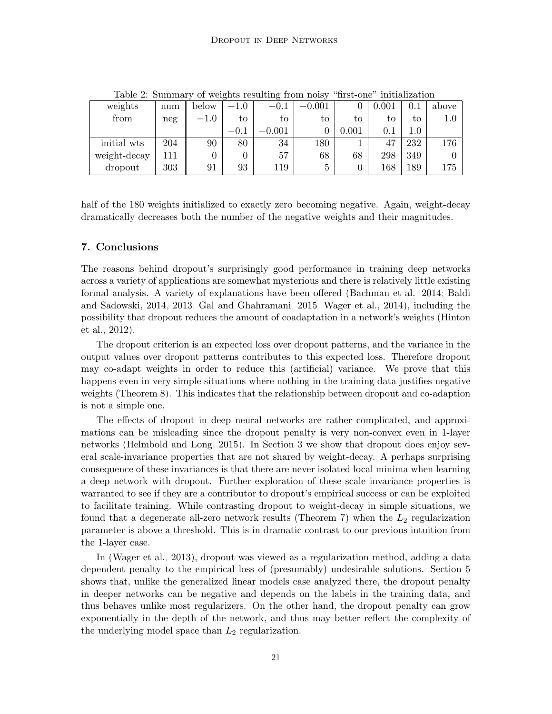| weights      | num | below  | $-1.0\,$ | $-0.1\,$ | $-0.001$ |       | 0.001     | $\rm 0.1$ | above |
|--------------|-----|--------|----------|----------|----------|-------|-----------|-----------|-------|
| from         | neg | $-1.0$ | to       | tο       | to       | tо    | to        | tо        | 1.0   |
|              |     |        | $-0.1$   | 0.001    |          | 0.001 | $\rm 0.1$ | $1.0\,$   |       |
| initial wts  | 204 | 90     | 80       | 34       | 180      |       | 47        | 232       | 176   |
| weight-decay | 111 |        | 0        | 57       | 68       | 68    | 298       | 349       |       |
| dropout      | 303 | 91     | 93       | 119      | b        |       | 168       | 189       | 175   |

<span id="page-20-1"></span>Table 2: Summary of weights resulting from noisy "first-one" initialization

half of the 180 weights initialized to exactly zero becoming negative. Again, weight-decay dramatically decreases both the number of the negative weights and their magnitudes.

### <span id="page-20-0"></span>7. Conclusions

The reasons behind dropout's surprisingly good performance in training deep networks across a variety of applications are somewhat mysterious and there is relatively little existing formal analysis. A variety of explanations have been offered [\(Bachman et al., 2014;](#page-25-8) [Baldi](#page-25-9) [and Sadowski, 2014,](#page-25-9) [2013;](#page-25-7) [Gal and Ghahramani, 2015;](#page-25-10) [Wager et al., 2014\)](#page-27-4), including the possibility that dropout reduces the amount of coadaptation in a network's weights [\(Hinton](#page-26-15) [et al., 2012\)](#page-26-15).

The dropout criterion is an expected loss over dropout patterns, and the variance in the output values over dropout patterns contributes to this expected loss. Therefore dropout may co-adapt weights in order to reduce this (artificial) variance. We prove that this happens even in very simple situations where nothing in the training data justifies negative weights (Theorem [8\)](#page-8-2). This indicates that the relationship between dropout and co-adaption is not a simple one.

The effects of dropout in deep neural networks are rather complicated, and approximations can be misleading since the dropout penalty is very non-convex even in 1-layer networks [\(Helmbold and Long, 2015\)](#page-26-10). In Section [3](#page-5-0) we show that dropout does enjoy several scale-invariance properties that are not shared by weight-decay. A perhaps surprising consequence of these invariances is that there are never isolated local minima when learning a deep network with dropout. Further exploration of these scale invariance properties is warranted to see if they are a contributor to dropout's empirical success or can be exploited to facilitate training. While contrasting dropout to weight-decay in simple situations, we found that a degenerate all-zero network results (Theorem [7\)](#page-7-1) when the  $L_2$  regularization parameter is above a threshold. This is in dramatic contrast to our previous intuition from the 1-layer case.

In [\(Wager et al., 2013\)](#page-27-2), dropout was viewed as a regularization method, adding a data dependent penalty to the empirical loss of (presumably) undesirable solutions. Section [5](#page-15-0) shows that, unlike the generalized linear models case analyzed there, the dropout penalty in deeper networks can be negative and depends on the labels in the training data, and thus behaves unlike most regularizers. On the other hand, the dropout penalty can grow exponentially in the depth of the network, and thus may better reflect the complexity of the underlying model space than  $L_2$  regularization.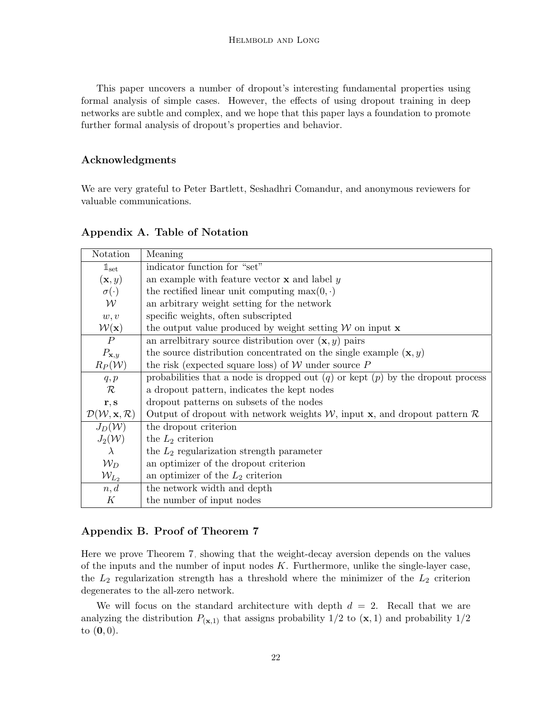This paper uncovers a number of dropout's interesting fundamental properties using formal analysis of simple cases. However, the effects of using dropout training in deep networks are subtle and complex, and we hope that this paper lays a foundation to promote further formal analysis of dropout's properties and behavior.

# Acknowledgments

We are very grateful to Peter Bartlett, Seshadhri Comandur, and anonymous reviewers for valuable communications.

| Notation                                            | Meaning                                                                                         |
|-----------------------------------------------------|-------------------------------------------------------------------------------------------------|
| $\mathbb{1}_{\text{set}}$                           | indicator function for "set"                                                                    |
| $(\mathbf{x}, y)$                                   | an example with feature vector $\bf{x}$ and label $y$                                           |
| $\sigma(\cdot)$                                     | the rectified linear unit computing $\max(0, \cdot)$                                            |
| $\mathcal W$                                        | an arbitrary weight setting for the network                                                     |
| w, v                                                | specific weights, often subscripted                                                             |
| $\mathcal{W}(\mathbf{x})$                           | the output value produced by weight setting $W$ on input $x$                                    |
| $\boldsymbol{P}$                                    | an arrelatively source distribution over $(\mathbf{x}, y)$ pairs                                |
| $P_{\mathbf{x},y}$                                  | the source distribution concentrated on the single example $(\mathbf{x}, y)$                    |
| $R_P(\mathcal{W})$                                  | the risk (expected square loss) of $W$ under source $P$                                         |
| q, p                                                | probabilities that a node is dropped out $(q)$ or kept $(p)$ by the dropout process             |
| $\mathcal{R}$                                       | a dropout pattern, indicates the kept nodes                                                     |
| r, s                                                | dropout patterns on subsets of the nodes                                                        |
| $\mathcal{D}(\mathcal{W}, \mathbf{x}, \mathcal{R})$ | Output of dropout with network weights $W$ , input <b>x</b> , and dropout pattern $\mathcal{R}$ |
| $J_D(\mathcal{W})$                                  | the dropout criterion                                                                           |
| $J_2(\mathcal{W})$                                  | the $L_2$ criterion                                                                             |
| $\lambda$                                           | the $L_2$ regularization strength parameter                                                     |
| $\mathcal{W}_D$                                     | an optimizer of the dropout criterion                                                           |
| $\mathcal{W}_{L_2}$                                 | an optimizer of the $L_2$ criterion                                                             |
| n, d                                                | the network width and depth                                                                     |
| $\cal K$                                            | the number of input nodes                                                                       |

# Appendix A. Table of Notation

# Appendix B. Proof of Theorem [7](#page-7-1)

Here we prove Theorem [7,](#page-7-1) showing that the weight-decay aversion depends on the values of the inputs and the number of input nodes  $K$ . Furthermore, unlike the single-layer case, the  $L_2$  regularization strength has a threshold where the minimizer of the  $L_2$  criterion degenerates to the all-zero network.

We will focus on the standard architecture with depth  $d = 2$ . Recall that we are analyzing the distribution  $P_{(\mathbf{x},1)}$  that assigns probability  $1/2$  to  $(\mathbf{x},1)$  and probability  $1/2$ to  $(0, 0)$ .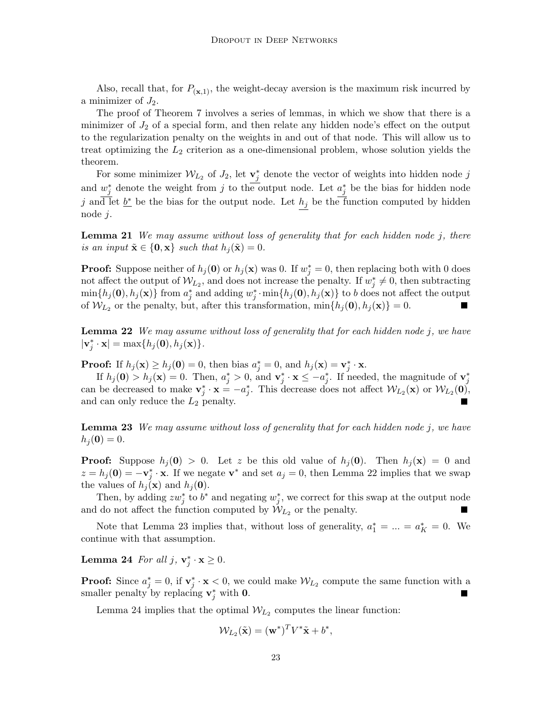Also, recall that, for  $P_{(\mathbf{x},1)}$ , the weight-decay aversion is the maximum risk incurred by a minimizer of  $J_2$ .

The proof of Theorem [7](#page-7-1) involves a series of lemmas, in which we show that there is a minimizer of  $J_2$  of a special form, and then relate any hidden node's effect on the output to the regularization penalty on the weights in and out of that node. This will allow us to treat optimizing the  $L_2$  criterion as a one-dimensional problem, whose solution yields the theorem.

For some minimizer  $W_{L_2}$  of  $J_2$ , let  $\mathbf{v}_j^*$  denote the vector of weights into hidden node j and  $w_j^*$  denote the weight from j to the output node. Let  $a_j^*$  be the bias for hidden node j and let  $\underline{b^*}$  be the bias for the output node. Let  $h_j$  be the function computed by hidden node j.

**Lemma 21** We may assume without loss of generality that for each hidden node j, there is an input  $\tilde{\mathbf{x}} \in \{0, \mathbf{x}\}\$  such that  $h_j(\tilde{\mathbf{x}}) = 0$ .

**Proof:** Suppose neither of  $h_j(0)$  or  $h_j(\mathbf{x})$  was 0. If  $w_j^* = 0$ , then replacing both with 0 does not affect the output of  $W_{L_2}$ , and does not increase the penalty. If  $w_j^* \neq 0$ , then subtracting  $\min\{h_j(\mathbf{0}),h_j(\mathbf{x})\}\text{ from }a_j^* \text{ and adding }w_j^*\cdot \min\{h_j(\mathbf{0}),h_j(\mathbf{x})\}\text{ to }b\text{ does not affect the output }% \mathcal{C}=\{h_j(\mathbf{0}),h_j(\mathbf{x})\}$ of  $W_{L_2}$  or the penalty, but, after this transformation,  $\min\{h_j(\mathbf{0}), h_j(\mathbf{x})\} = 0$ . 

<span id="page-22-0"></span>**Lemma 22** We may assume without loss of generality that for each hidden node  $j$ , we have  $|\mathbf{v}_j^*\cdot\mathbf{x}| = \max\{h_j(\mathbf{0}), h_j(\mathbf{x})\}.$ 

**Proof:** If  $h_j(\mathbf{x}) \ge h_j(\mathbf{0}) = 0$ , then bias  $a_j^* = 0$ , and  $h_j(\mathbf{x}) = \mathbf{v}_j^* \cdot \mathbf{x}$ .

If  $h_j(0) > h_j(\mathbf{x}) = 0$ . Then,  $a_j^* > 0$ , and  $\mathbf{v}_j^* \cdot \mathbf{x} \le -a_j^*$ . If needed, the magnitude of  $\mathbf{v}_j^*$ can be decreased to make  $\mathbf{v}_j^* \cdot \mathbf{x} = -a_j^*$ . This decrease does not affect  $\mathcal{W}_{L_2}(\mathbf{x})$  or  $\mathcal{W}_{L_2}(\mathbf{0})$ , and can only reduce the  $L_2$  penalty.

<span id="page-22-1"></span>**Lemma 23** We may assume without loss of generality that for each hidden node j, we have  $h_j (0) = 0.$ 

**Proof:** Suppose  $h_j(0) > 0$ . Let z be this old value of  $h_j(0)$ . Then  $h_j(\mathbf{x}) = 0$  and  $z = h_j(0) = -\mathbf{v}_j^* \cdot \mathbf{x}$ . If we negate  $\mathbf{v}^*$  and set  $a_j = 0$ , then Lemma [22](#page-22-0) implies that we swap the values of  $h_j(\mathbf{x})$  and  $h_j(\mathbf{0})$ .

Then, by adding  $zw_j^*$  to  $b^*$  and negating  $w_j^*$ , we correct for this swap at the output node and do not affect the function computed by  $W_{L_2}$  or the penalty.

Note that Lemma [23](#page-22-1) implies that, without loss of generality,  $a_1^* = ... = a_K^* = 0$ . We continue with that assumption.

<span id="page-22-2"></span>**Lemma 24** For all  $j, v_j^* \cdot x \ge 0$ .

**Proof:** Since  $a_j^* = 0$ , if  $v_j^* \cdot x < 0$ , we could make  $W_{L_2}$  compute the same function with a smaller penalty by replacing  $v_j^*$  with 0.

Lemma [24](#page-22-2) implies that the optimal  $W_{L_2}$  computes the linear function:

$$
\mathcal{W}_{L_2}(\tilde{\mathbf{x}}) = (\mathbf{w}^*)^T V^* \tilde{\mathbf{x}} + b^*,
$$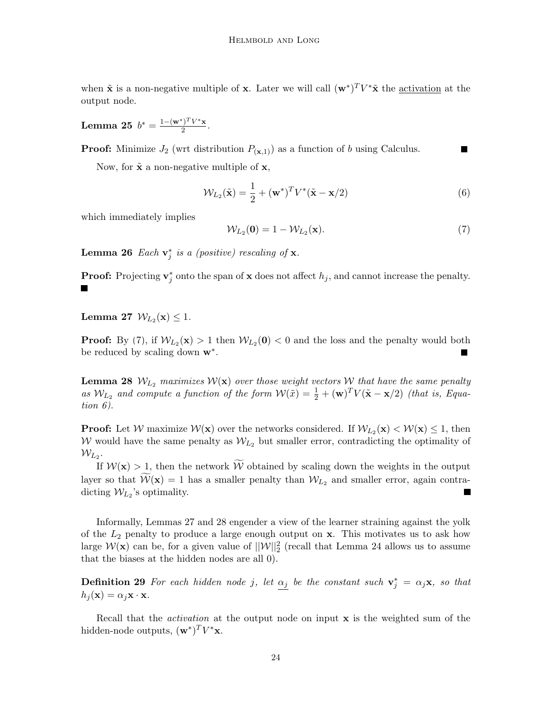when  $\tilde{\mathbf{x}}$  is a non-negative multiple of **x**. Later we will call  $(\mathbf{w}^*)^T V^* \tilde{\mathbf{x}}$  the <u>activation</u> at the output node.

<span id="page-23-4"></span>Lemma 25  $b^* = \frac{1-(w^*)^T V^* \mathbf{x}}{2}$  $\frac{1 - V \cdot x}{2}$ 

**Proof:** Minimize  $J_2$  (wrt distribution  $P_{(\mathbf{x},1)}$ ) as a function of b using Calculus.

Now, for  $\tilde{\mathbf{x}}$  a non-negative multiple of  $\mathbf{x}$ ,

<span id="page-23-1"></span><span id="page-23-0"></span>
$$
\mathcal{W}_{L_2}(\tilde{\mathbf{x}}) = \frac{1}{2} + (\mathbf{w}^*)^T V^* (\tilde{\mathbf{x}} - \mathbf{x}/2)
$$
\n(6)

which immediately implies

$$
\mathcal{W}_{L_2}(\mathbf{0}) = 1 - \mathcal{W}_{L_2}(\mathbf{x}).\tag{7}
$$

П

**Lemma 26** Each  $\mathbf{v}_j^*$  is a (positive) rescaling of  $\mathbf{x}$ .

**Proof:** Projecting  $\mathbf{v}_j^*$  onto the span of **x** does not affect  $h_j$ , and cannot increase the penalty.

<span id="page-23-2"></span> ${\rm Lemma~}$  27  $\,{\cal W}_{L_2}({\bf x})\le 1.$ 

**Proof:** By [\(7\)](#page-23-0), if  $W_{L_2}(\mathbf{x}) > 1$  then  $W_{L_2}(\mathbf{0}) < 0$  and the loss and the penalty would both be reduced by scaling down  $\mathbf{w}^*$ .

<span id="page-23-3"></span>**Lemma 28**  $W_{L_2}$  maximizes  $W(x)$  over those weight vectors W that have the same penalty as  $W_{L_2}$  and compute a function of the form  $W(\tilde{x}) = \frac{1}{2} + (\mathbf{w})^T V(\tilde{\mathbf{x}} - \mathbf{x}/2)$  (that is, Equation [6\)](#page-23-1).

**Proof:** Let  $W$  maximize  $W(x)$  over the networks considered. If  $W_{L_2}(x) < W(x) \le 1$ , then W would have the same penalty as  $W_{L_2}$  but smaller error, contradicting the optimality of  $\mathcal{W}_{L_2}.$ 

If  $W(\mathbf{x}) > 1$ , then the network  $\widetilde{W}$  obtained by scaling down the weights in the output layer so that  $W(\mathbf{x}) = 1$  has a smaller penalty than  $W_{L_2}$  and smaller error, again contradicting  $W_{L_2}$ 's optimality.

Informally, Lemmas [27](#page-23-2) and [28](#page-23-3) engender a view of the learner straining against the yolk of the  $L_2$  penalty to produce a large enough output on  $x$ . This motivates us to ask how large  $\mathcal{W}(\mathbf{x})$  can be, for a given value of  $||\mathcal{W}||_2^2$  (recall that Lemma [24](#page-22-2) allows us to assume that the biases at the hidden nodes are all 0).

**Definition 29** For each hidden node j, let  $\alpha_j$  be the constant such  $\mathbf{v}_j^* = \alpha_j \mathbf{x}$ , so that  $h_j(\mathbf{x}) = \alpha_j \mathbf{x} \cdot \mathbf{x}.$ 

Recall that the *activation* at the output node on input  $\bf{x}$  is the weighted sum of the hidden-node outputs,  $(\mathbf{w}^*)^T V^* \mathbf{x}$ .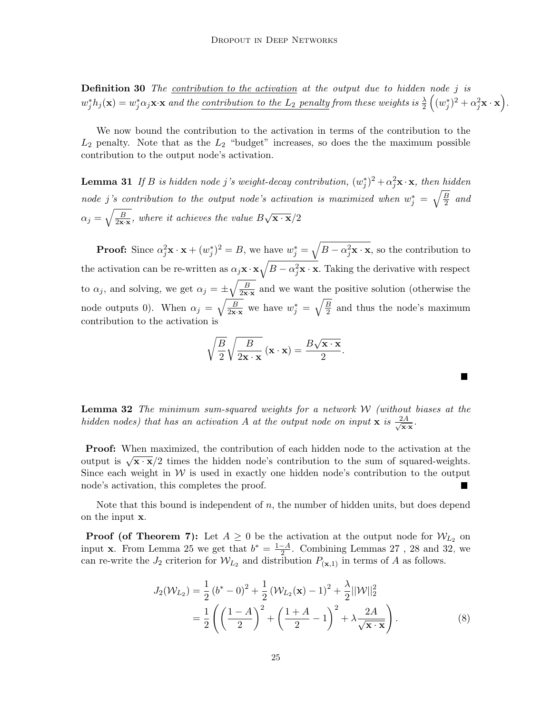**Definition 30** The contribution to the activation at the output due to hidden node j is  $w_j^*h_j(\mathbf{x}) = w_j^* \alpha_j \mathbf{x} \cdot \mathbf{x} \text{ and the contribution to the $L_2$ penalty from these weights is } \frac{\lambda}{2}\left((w_j^*)^2 + \alpha_j^2 \mathbf{x} \cdot \mathbf{x}\right).$ 

We now bound the contribution to the activation in terms of the contribution to the  $L_2$  penalty. Note that as the  $L_2$  "budget" increases, so does the the maximum possible contribution to the output node's activation.

<span id="page-24-0"></span>**Lemma 31** If B is hidden node j's weight-decay contribution,  $(w_j^*)^2 + \alpha_j^2 \mathbf{x} \cdot \mathbf{x}$ , then hidden node j's contribution to the output node's activation is maximized when  $w_j^* = \sqrt{\frac{B}{2}}$  $rac{B}{2}$  and  $\alpha_j = \sqrt{\frac{B}{2\mathbf{x}\cdot\mathbf{x}}},$  where it achieves the value B  $\sqrt{\mathbf{x} \cdot \mathbf{x}}/2$ 

**Proof:** Since  $\alpha_j^2 \mathbf{x} \cdot \mathbf{x} + (w_j^*)^2 = B$ , we have  $w_j^* = \sqrt{B - \alpha_j^2 \mathbf{x} \cdot \mathbf{x}}$ , so the contribution to the activation can be re-written as  $\alpha_j \mathbf{x} \cdot \mathbf{x} \sqrt{B - \alpha_j^2 \mathbf{x} \cdot \mathbf{x}}$ . Taking the derivative with respect to  $\alpha_j$ , and solving, we get  $\alpha_j = \pm \sqrt{\frac{B}{2 \mathbf{x} \cdot \mathbf{x}}}$  and we want the positive solution (otherwise the node outputs 0). When  $\alpha_j = \sqrt{\frac{B}{2x \cdot x}}$  we have  $w_j^* = \sqrt{\frac{B}{2}}$  $\frac{B}{2}$  and thus the node's maximum contribution to the activation is

$$
\sqrt{\frac{B}{2}}\sqrt{\frac{B}{2\mathbf{x}\cdot\mathbf{x}}}\left(\mathbf{x}\cdot\mathbf{x}\right)=\frac{B\sqrt{\mathbf{x}\cdot\mathbf{x}}}{2}.
$$

<span id="page-24-2"></span>ш

<span id="page-24-1"></span>**Lemma 32** The minimum sum-squared weights for a network  $W$  (without biases at the hidden nodes) that has an activation A at the output node on input x is  $\frac{2A}{\sqrt{2A}}$  $\frac{2A}{\mathbf{x}\cdot\mathbf{x}}$ .

Proof: When maximized, the contribution of each hidden node to the activation at the **From:** when maximized, the contribution of each model node to the activation at the output is  $\sqrt{x} \cdot \bar{x}/2$  times the hidden node's contribution to the sum of squared-weights. Since each weight in  $W$  is used in exactly one hidden node's contribution to the output node's activation, this completes the proof.  $\blacksquare$ 

Note that this bound is independent of  $n$ , the number of hidden units, but does depend on the input x.

**Proof (of Theorem [7\)](#page-7-1):** Let  $A \geq 0$  be the activation at the output node for  $W_{L_2}$  on input **x**. From Lemma [25](#page-23-4) we get that  $b^* = \frac{1-A}{2}$  $\frac{-A}{2}$ . Combining Lemmas [27](#page-23-2), [28](#page-23-3) and [32,](#page-24-1) we can re-write the  $J_2$  criterion for  $W_{L_2}$  and distribution  $P_{(\mathbf{x},1)}$  in terms of A as follows.

$$
J_2(\mathcal{W}_{L_2}) = \frac{1}{2} (b^* - 0)^2 + \frac{1}{2} (\mathcal{W}_{L_2}(\mathbf{x}) - 1)^2 + \frac{\lambda}{2} ||\mathcal{W}||_2^2
$$
  
=  $\frac{1}{2} \left( \left( \frac{1 - A}{2} \right)^2 + \left( \frac{1 + A}{2} - 1 \right)^2 + \lambda \frac{2A}{\sqrt{\mathbf{x} \cdot \mathbf{x}}} \right).$  (8)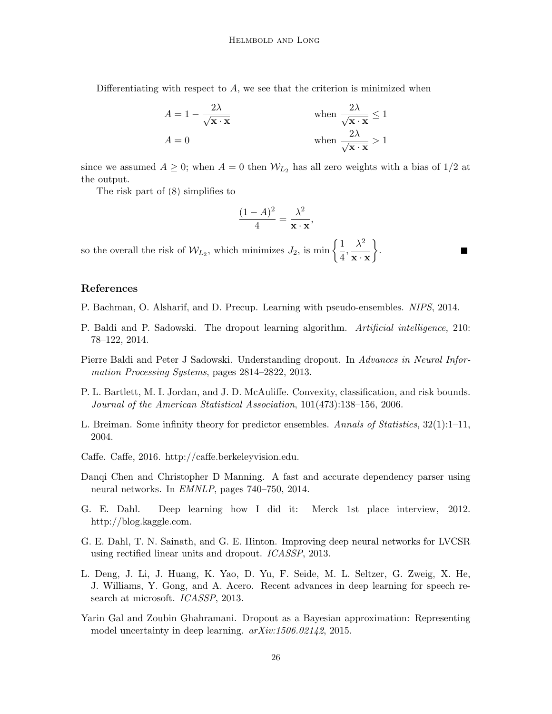Differentiating with respect to  $A$ , we see that the criterion is minimized when

$$
A = 1 - \frac{2\lambda}{\sqrt{\mathbf{x} \cdot \mathbf{x}}} \qquad \text{when } \frac{2\lambda}{\sqrt{\mathbf{x} \cdot \mathbf{x}}} \le 1
$$

$$
A = 0 \qquad \text{when } \frac{2\lambda}{\sqrt{\mathbf{x} \cdot \mathbf{x}}} > 1
$$

since we assumed  $A \geq 0$ ; when  $A = 0$  then  $W_{L_2}$  has all zero weights with a bias of  $1/2$  at the output.

The risk part of [\(8\)](#page-24-2) simplifies to

$$
\frac{(1-A)^2}{4} = \frac{\lambda^2}{\mathbf{x} \cdot \mathbf{x}},
$$

so the overall the risk of  $W_{L_2}$ , which minimizes  $J_2$ , is min  $\left\{\frac{1}{4}\right\}$  $\frac{1}{4}, \frac{\lambda^2}{\mathbf{x} \cdot \mathbf{z}}$  $\mathbf{x} \cdot \mathbf{x}$  $\big\}$ .

# References

- <span id="page-25-8"></span>P. Bachman, O. Alsharif, and D. Precup. Learning with pseudo-ensembles. NIPS, 2014.
- <span id="page-25-9"></span>P. Baldi and P. Sadowski. The dropout learning algorithm. Artificial intelligence, 210: 78–122, 2014.
- <span id="page-25-7"></span>Pierre Baldi and Peter J Sadowski. Understanding dropout. In Advances in Neural Information Processing Systems, pages 2814–2822, 2013.
- <span id="page-25-6"></span>P. L. Bartlett, M. I. Jordan, and J. D. McAuliffe. Convexity, classification, and risk bounds. Journal of the American Statistical Association, 101(473):138–156, 2006.
- <span id="page-25-5"></span>L. Breiman. Some infinity theory for predictor ensembles. Annals of Statistics, 32(1):1–11, 2004.
- <span id="page-25-4"></span>Caffe. Caffe, 2016. http://caffe.berkeleyvision.edu.
- <span id="page-25-3"></span>Danqi Chen and Christopher D Manning. A fast and accurate dependency parser using neural networks. In EMNLP, pages 740–750, 2014.
- <span id="page-25-0"></span>G. E. Dahl. Deep learning how I did it: Merck 1st place interview, 2012. http://blog.kaggle.com.
- <span id="page-25-2"></span>G. E. Dahl, T. N. Sainath, and G. E. Hinton. Improving deep neural networks for LVCSR using rectified linear units and dropout. ICASSP, 2013.
- <span id="page-25-1"></span>L. Deng, J. Li, J. Huang, K. Yao, D. Yu, F. Seide, M. L. Seltzer, G. Zweig, X. He, J. Williams, Y. Gong, and A. Acero. Recent advances in deep learning for speech research at microsoft. ICASSP, 2013.
- <span id="page-25-10"></span>Yarin Gal and Zoubin Ghahramani. Dropout as a Bayesian approximation: Representing model uncertainty in deep learning. arXiv:1506.02142, 2015.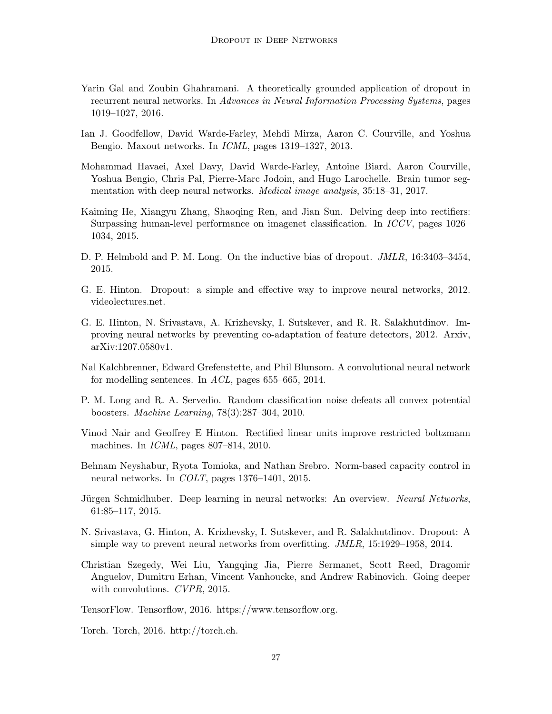- <span id="page-26-9"></span>Yarin Gal and Zoubin Ghahramani. A theoretically grounded application of dropout in recurrent neural networks. In Advances in Neural Information Processing Systems, pages 1019–1027, 2016.
- <span id="page-26-8"></span>Ian J. Goodfellow, David Warde-Farley, Mehdi Mirza, Aaron C. Courville, and Yoshua Bengio. Maxout networks. In ICML, pages 1319–1327, 2013.
- <span id="page-26-5"></span>Mohammad Havaei, Axel Davy, David Warde-Farley, Antoine Biard, Aaron Courville, Yoshua Bengio, Chris Pal, Pierre-Marc Jodoin, and Hugo Larochelle. Brain tumor segmentation with deep neural networks. Medical image analysis, 35:18–31, 2017.
- <span id="page-26-3"></span>Kaiming He, Xiangyu Zhang, Shaoqing Ren, and Jian Sun. Delving deep into rectifiers: Surpassing human-level performance on imagenet classification. In ICCV, pages 1026– 1034, 2015.
- <span id="page-26-10"></span>D. P. Helmbold and P. M. Long. On the inductive bias of dropout. JMLR, 16:3403–3454, 2015.
- <span id="page-26-0"></span>G. E. Hinton. Dropout: a simple and effective way to improve neural networks, 2012. videolectures.net.
- <span id="page-26-15"></span>G. E. Hinton, N. Srivastava, A. Krizhevsky, I. Sutskever, and R. R. Salakhutdinov. Improving neural networks by preventing co-adaptation of feature detectors, 2012. Arxiv, arXiv:1207.0580v1.
- <span id="page-26-1"></span>Nal Kalchbrenner, Edward Grefenstette, and Phil Blunsom. A convolutional neural network for modelling sentences. In ACL, pages 655–665, 2014.
- <span id="page-26-14"></span>P. M. Long and R. A. Servedio. Random classification noise defeats all convex potential boosters. Machine Learning, 78(3):287–304, 2010.
- <span id="page-26-13"></span>Vinod Nair and Geoffrey E Hinton. Rectified linear units improve restricted boltzmann machines. In *ICML*, pages 807–814, 2010.
- <span id="page-26-12"></span>Behnam Neyshabur, Ryota Tomioka, and Nathan Srebro. Norm-based capacity control in neural networks. In COLT, pages 1376–1401, 2015.
- <span id="page-26-2"></span>Jürgen Schmidhuber. Deep learning in neural networks: An overview. Neural Networks, 61:85–117, 2015.
- <span id="page-26-11"></span>N. Srivastava, G. Hinton, A. Krizhevsky, I. Sutskever, and R. Salakhutdinov. Dropout: A simple way to prevent neural networks from overfitting. JMLR, 15:1929–1958, 2014.
- <span id="page-26-4"></span>Christian Szegedy, Wei Liu, Yangqing Jia, Pierre Sermanet, Scott Reed, Dragomir Anguelov, Dumitru Erhan, Vincent Vanhoucke, and Andrew Rabinovich. Going deeper with convolutions. CVPR, 2015.
- <span id="page-26-6"></span>TensorFlow. Tensorflow, 2016. https://www.tensorflow.org.
- <span id="page-26-7"></span>Torch. Torch, 2016. http://torch.ch.